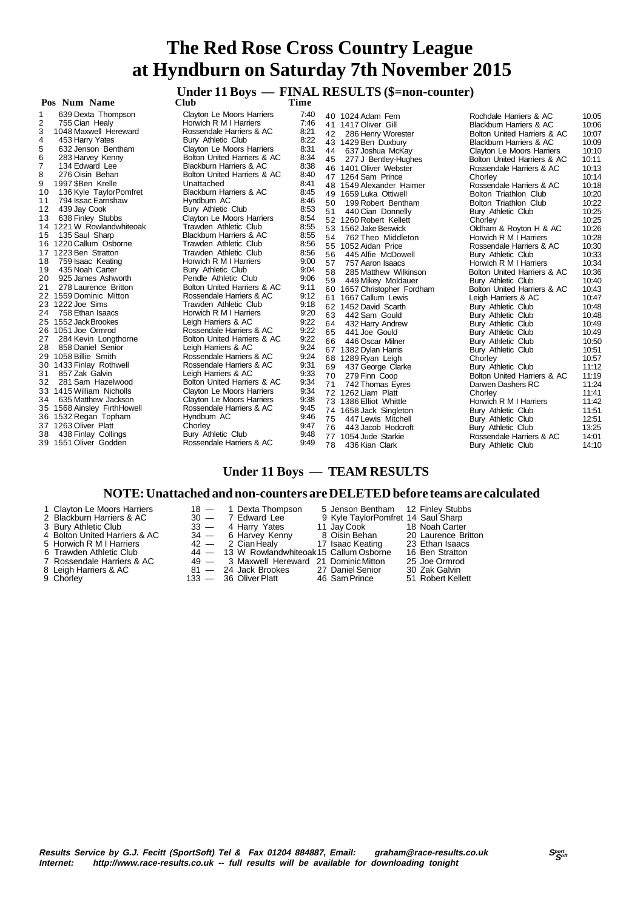# **Under 11 Boys — FINAL RESULTS (\$=non-counter)**

 **Pos Num Name** 

1 639 Dexta Thompson Clayton Le Moors Harriers 7:40 21-755 Cian Healy **Horwich R M I Harriers** 7:46<br>1048 Maxwell Hereward Rossendale Harriers & AC 8:21 3 1048 Maxwell Hereward Rossendale Harriers & AC 8:21 4 453 Harry Yates Bury Athletic Club 8:22<br>5 632 Jenson Bentham Clayton Le Moors Harriers 8:31 5 632 Jenson Bentham Clayton Le Moors Harriers 8:31 6 283 Harvey Kenny Bolton United Harriers & AC 8:34 7 134 Edward Lee Blackburn Harriers & AC 8:38<br>8 276 Oisin Behan Bolton United Harriers & AC 8:40 8 276 Oisin Behan Bolton United Harriers & AC 8:40 9 1997 \$Ben Krelle Unattached 8:41 10 136 Kyle TaylorPomfret Blackburn Harriers & AC 8:45 11 794 Issac Earnshaw Burn Hyndburn AC 8:46<br>12 439 Jay Cook Bury Athletic Club 8:53 129 Jay Cook Bury Athletic Club 8:53<br>12:53 638 Finley Stubbs Clayton Le Moors Harriers 8:54 Clayton Le Moors Harriers 8:54<br>Trawden Athletic Club 8:55 14 1221 W Rowlandwhiteoak Trawden Athletic Club 8:55 Blackburn Harriers & AC 16 1220 Callum Osborne Trawden Athletic Club 8:56 17 1223 Ben Stratton 11 1223 Ben Stratton 11 1223 Ben Stratton 11 1223 Ben Stratton 12<br>18 17 1223 Ben Stratton 12 123 Ben Stratton 12 123 Ben Stratton 12 123 Ben Stratton 12 123 Ben Stratton 12 12 18 759 Isaac Keating Horwich R M I Harriers 9:00 19 435 Noah Carter **Bury Athletic Club** 9:04<br>20 925 James Ashworth **Pendle Athletic Club** 9:06 20 925 James Ashworth Pendle Athletic Club 9:06 Bolton United Harriers & AC 22 1559 Dominic Mitton Rossendale Harriers & AC 9:12 23 1222 Joe Sims Trawden Athletic Club 9:18<br>24 758 Ethan Isaacs Horwich R M I Harriers 9:20 24 758 Ethan Isaacs Horwich R M I Harriers 9:20 25 1552 Jack Brookes Leigh Harriers & AC 9:22 26 1051 Joe Ormrod Rossendale Harriers & AC 9:22 22 29:22 Deigh Harriers & AC 9:22<br>Leigh Harriers & AC 9:24 28 858 Daniel Senior Leigh Harriers & AC 9:24 29 1058 Billie Smith Rossendale Harriers & AC 9:24 30 1433 Finlay Rothwell Rossendale Harriers & AC 9:31 31 857 Zak Galvin Leigh Harriers & AC 9:33<br>281 Sam Hazelwood Bolton United Harriers & AC 9:34 32 281 Sam Hazelwood Bolton United Harriers & AC 9:34 33 1415 William Nicholls Clayton Le Moors Harriers 9:34 34 635 Matthew Jackson Clayton Le Moors Harriers 9:38 35 1568 Ainsley FirthHowell Rossendale Harriers & AC 9:45 36 1532 Regan Topham Hyndburn AC 9:46 37 1263 Oliver Platt Chorley 9:47 38 438 Finlay Collings Bury Athletic Club 9:48 39 1551 Oliver Godden Rossendale Harriers & AC 9:49

40 1024 Adam Fern 41 1417 Oliver Gill<br>42 286 Henry Wor 286 Henry Worester 43 1429 Ben Duxbury<br>44 637 Joshua McKa 44 637 Joshua McKay 277 J Bentley-Hughes 46 1401 Oliver Webster<br>47 1264 Sam Prince 47 1264 Sam Prince<br>48 1549 Alexander H 48 1549 Alexander Haimer<br>49 1659 Luka Ottiwell 49 1659 Luka Ottiwell<br>50 199 Robert Benth 199 Robert Bentham 51 440 Cian Donnelly 52 1260 Robert Kellett 53 1562 Jake Beswick 54 762 Theo Middleton 55 1052 Aidan Price<br>56 1052 Aidan Price 56 445 Alfie McDowell<br>57 757 Aaron Isaacs 57 757 Aaron Isaacs<br>58 285 Matthew Will 58 285 Matthew Wilkinson<br>59 449 Mikey Moldauer 449 Mikey Moldauer 60 1657 Christopher Fordham 61 1667 Callum Lewis<br>62 1452 David Scarth 62 1452 David Scarth<br>63 442 Sam Gould 63  $442$  Sam Gould 64  $432$  Harry Andrey 64 432 Harry Andrew<br>65 441 Joe Gould 441 Joe Gould 66 446 Oscar Milner<br>67 1382 Dvlan Harris 67 1382 Dylan Harris<br>68 1289 Ryan Leigh 1289 Ryan Leigh 69 437 George Clarke<br>70 279 Finn Coop 70 279 Finn Coop<br>71 742 Thomas Ey 71 742 Thomas Eyres<br>72 1262 Liam Platt<br>73 1386 Elliot Whittle 74 1658 Jack Singleton<br>75 447 Lewis Mitchell 75 447 Lewis Mitchell<br>76 443 Jacob Hodcroft 76 443 Jacob Hodcroft<br>77 1054 Jude Starkie 77 1054 Jude Starkie<br>78 436 Kian Clark 436 Kian Clark Bury Athletic Club

|    | 40 1024 Adam Fern           | Rochdale Harriers & AC      | 10:05 |
|----|-----------------------------|-----------------------------|-------|
|    | 41 1417 Oliver Gill         | Blackburn Harriers & AC     | 10:06 |
|    | 42 286 Henry Worester       | Bolton United Harriers & AC | 10:07 |
|    | 43 1429 Ben Duxbury         | Blackburn Harriers & AC     | 10:09 |
|    | 44 637 Joshua McKay         | Clayton Le Moors Harriers   | 10:10 |
|    | 45 277 J Bentley-Hughes     | Bolton United Harriers & AC | 10:11 |
|    | 46 1401 Oliver Webster      | Rossendale Harriers & AC    | 10:13 |
|    | 47 1264 Sam Prince          | Chorley                     | 10:14 |
|    | 48 1549 Alexander Haimer    | Rossendale Harriers & AC    | 10:18 |
| 49 | 1659 Luka Ottiwell          | Bolton Triathlon Club       | 10:20 |
| 50 | 199 Robert Bentham          | Bolton Triathlon Club       | 10:22 |
|    | 51 440 Cian Donnelly        | Bury Athletic Club          | 10:25 |
|    | 52 1260 Robert Kellett      | Chorley                     | 10:25 |
| 53 | 1562 Jake Beswick           | Oldham & Royton H & AC      | 10:26 |
| 54 | 762 Theo Middleton          | Horwich R M I Harriers      | 10:28 |
|    | 55 1052 Aidan Price         | Rossendale Harriers & AC    | 10:30 |
| 56 | 445 Alfie McDowell          | Bury Athletic Club          | 10:33 |
| 57 | 757 Aaron Isaacs            | Horwich R M I Harriers      | 10:34 |
| 58 | 285 Matthew Wilkinson       | Bolton United Harriers & AC | 10:36 |
| 59 | 449 Mikey Moldauer          | Bury Athletic Club          | 10:40 |
|    | 60 1657 Christopher Fordham | Bolton United Harriers & AC | 10:43 |
| 61 | 1667 Callum Lewis           | Leigh Harriers & AC         | 10:47 |
| 62 | 1452 David Scarth           | Bury Athletic Club          | 10:48 |
| 63 | 442 Sam Gould               | Bury Athletic Club          | 10:48 |
| 64 | 432 Harry Andrew            | Bury Athletic Club          | 10:49 |
| 65 | 441 Joe Gould               | Bury Athletic Club          | 10:49 |
| 66 | 446 Oscar Milner            | Bury Athletic Club          | 10:50 |
| 67 | 1382 Dylan Harris           | Bury Athletic Club          | 10:51 |
| 68 | 1289 Ryan Leigh             | Chorley                     | 10:57 |
| 69 | 437 George Clarke           | Bury Athletic Club          | 11:12 |
| 70 | 279 Finn Coop               | Bolton United Harriers & AC | 11:19 |
| 71 | 742 Thomas Eyres            | Darwen Dashers RC           | 11:24 |
|    | 72 1262 Liam Platt          | Chorley                     | 11:41 |
|    | 73 1386 Elliot Whittle      | Horwich R M I Harriers      | 11:42 |
|    | 74 1658 Jack Singleton      | Bury Athletic Club          | 11:51 |
|    | 75 447 Lewis Mitchell       | Bury Athletic Club          | 12:51 |
|    | 76 443 Jacob Hodcroft       | Bury Athletic Club          | 13:25 |
|    | 77 1054 Jude Starkie        | Rossendale Harriers & AC    | 14:01 |
|    | 78 436 Kian Clark           | Rury Athletic Club          | 14.10 |

### **Under 11 Boys — TEAM RESULTS**

#### **NOTE: Unattached and non-counters are DELETED before teams are calculated**

- 1 Clayton Le Moors Harriers 18 1 Dexta Thompson 5 Jenson Bentham 12 Finley Stubbs<br>2 Blackburn Harriers & AC 30 7 Edward Lee 9 Kyle TaylorPomfret 14 Saul Sharp
- 
- 
- 
- 
- 
- 
- 
- 
- 
- 
- 
- 
- 
- 8 Leigh Harriers & AC 81 24 Jack Brookes 27 Daniel Senior 30 Chorley<br>
9 Chorley 133 36 Oliver Platt 46 Sam Prince
- 2 Blackburn Harry Yates 9 Kyle TaylorPomfret 14 Saul Sharp<br>
2 33 4 Harry Yates 11 Jay Cook 18 Noah Carter<br>
20 Laurence Brancey Kenny 8 Oisin Behan 20 Laurence Br 3 Bury Athletic Club 33 - 4 Harry Yates 11 Jay Cook 18 Noah Carter<br>4 Bolton United Harriers & AC 34 - 6 Harvey Kenny 8 Oisin Behan 20 Laurence Britton<br>5 Horwich R M I Harriers 42 - 2 Cian Healy 17 Isaac Keating 23 Ethan Is Bolton United Harriers & AC 34 — 6 Harvey Kenny 8 Oisin Behan 20 Laurence Britton United Reference Britton 42 — 2 Cian Healy 17 Isaac Keating 23 Ethan Isaacs 5 Horwich R M I Harriers 42 — 2 Cian Healy 17 Isaac Keating 23 Ethan Isaacs<br>6 Trawden Athletic Club 44 — 13 W Rowlandwhiteoak15 Callum Osborne 16 Ben Stratton Frawden Athletic Club 44 - 13 W Rowlandwhiteoak15 Callum Osborne 16 Ben Stratton<br>Rossendale Harriers & AC 49 - 3 Maxwell Hereward 21 Dominic Mitton 25 Joe Ormrod 7 Pay 19 — 3 Maxwell Hereward 21 Dominic Mitton 25 Joe Ormro<br>
81 — 24 Jack Brookes 27 Daniel Senior 30 Zak Galvin
	-
	-
	- 51 Robert Kellett

**Results Service by G.J. Fecitt (SportSoft) Tel & Fax 01204 884887, Email: graham@race-results.co.uk Sport as Sport<br>Internet: http://www.race-results.co.uk -- full results will be available for downloading tonight** http://www.race-results.co.uk -- full results will be available for downloading tonight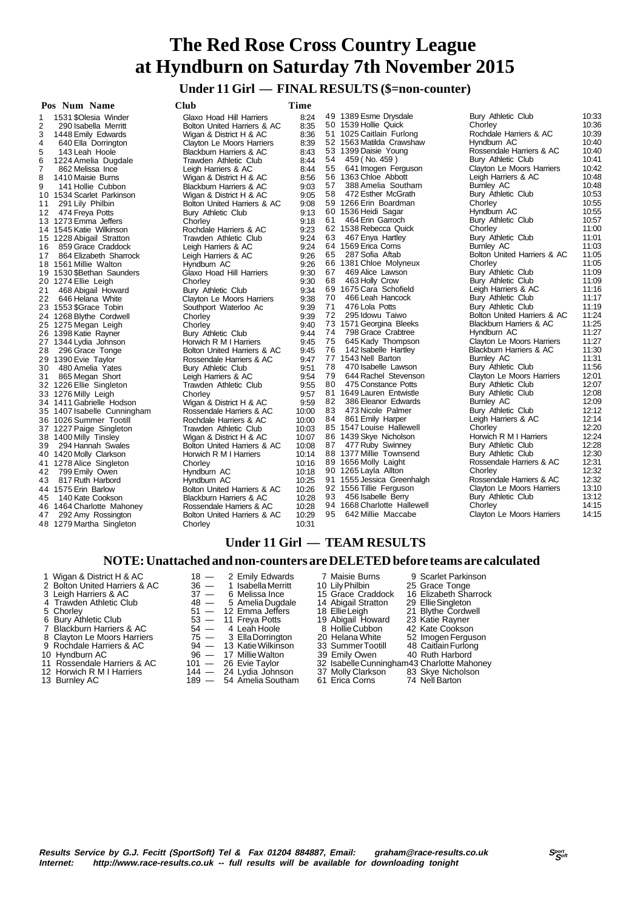# **Under 11 Girl — FINAL RESULTS (\$=non-counter)**

| 10:33<br>49 1389 Esme Drysdale<br>Bury Athletic Club<br>8:24<br>1531 \$Olesia Winder<br>Glaxo Hoad Hill Harriers<br>10:36<br>50 1539 Hollie Quick<br>Chorley<br>8:35<br>290 Isabella Merritt<br>Bolton United Harriers & AC<br>Rochdale Harriers & AC<br>10:39<br>51 1025 Caitlain Furlong<br>8:36<br>1448 Emily Edwards<br>Wigan & District H & AC<br>10:40<br>52 1563 Matilda Crawshaw<br>Hyndburn AC<br>8:39<br>640 Ella Dorrington<br>Clayton Le Moors Harriers<br>53 1399 Daisie Young<br>10:40<br>Rossendale Harriers & AC<br>8:43<br>143 Leah Hoole<br>Blackburn Harriers & AC<br>10:41<br>54<br>459 (No. 459)<br>Bury Athletic Club<br>Trawden Athletic Club<br>8:44<br>1224 Amelia Dugdale<br>10:42<br>55<br>641 Imogen Ferguson<br>Clayton Le Moors Harriers<br>8:44<br>862 Melissa Ince<br>Leigh Harriers & AC<br>10:48<br>56 1363 Chloe Abbott<br>Leigh Harriers & AC<br>1410 Maisie Burns<br>8:56<br>Wigan & District H & AC<br>57<br>10:48<br>388 Amelia Southam<br>Burnley AC<br>9:03<br>141 Hollie Cubbon<br>Blackburn Harriers & AC<br>58<br>472 Esther McGrath<br>Bury Athletic Club<br>10:53<br>9:05<br>Wigan & District H & AC<br>10:55<br>59 1266 Erin Boardman<br>Chorley<br>9:08<br>291 Lily Philbin<br>Bolton United Harriers & AC<br>10:55<br>60 1536 Heidi Sagar<br>Hyndburn AC<br>9:13<br>Bury Athletic Club<br>10:57<br>61<br>464 Erin Garroch<br>Bury Athletic Club<br>9:18<br>Chorley<br>62 1538 Rebecca Quick<br>Chorley<br>11:00<br>9:23<br>Rochdale Harriers & AC<br>63<br>467 Enya Hartley<br>Bury Athletic Club<br>11:01<br>9:24<br>15 1228 Abigail Stratton<br>Trawden Athletic Club<br>64 1569 Erica Corns<br>Burnley AC<br>11:03<br>9:24<br>Leigh Harriers & AC<br>Bolton United Harriers & AC<br>11:05<br>65 287 Sofia Aftab<br>9:26<br>17 864 Elizabeth Sharrock<br>Leigh Harriers & AC<br>66 1381 Chloe Molyneux<br>Chorley<br>11:05<br>9:26<br>Hyndburn AC<br>11:09<br>67<br>469 Alice Lawson<br>Bury Athletic Club<br>9:30<br>Glaxo Hoad Hill Harriers<br>11:09<br>68 463 Holly Crow<br>Bury Athletic Club<br>9:30<br>20 1274 Ellie Leigh<br>Chorley<br>69 1675 Cara Schofield<br>11:16<br>Leigh Harriers & AC<br>9:34<br>468 Abigail Howard<br>Bury Athletic Club<br>466 Leah Hancock<br>Bury Athletic Club<br>11:17<br>70<br>646 Helana White<br>9:38<br>Clayton Le Moors Harriers<br>11:19<br>71<br>476 Lola Potts<br>Bury Athletic Club<br>9:39<br>Southport Waterloo Ac<br>72<br>295 Idowu Taiwo<br>Bolton United Harriers & AC<br>11:24<br>9:39<br>24 1268 Blythe Cordwell<br>Chorley<br>11:25<br>73 1571 Georgina Bleeks<br><b>Blackburn Harriers &amp; AC</b><br>9:40<br>25 1275 Megan Leigh<br>Chorley<br>11:27<br>74<br>798 Grace Crabtree<br>Hyndburn AC<br>26 1398 Katie Rayner<br>Bury Athletic Club<br>9:44<br>11:27<br>75<br>645 Kady Thompson<br>Clayton Le Moors Harriers<br>9:45<br>27 1344 Lydia Johnson<br>Horwich R M I Harriers<br>11:30<br>76<br>142 Isabelle Hartley<br><b>Blackburn Harriers &amp; AC</b><br>28 296 Grace Tonge<br>9:45<br>Bolton United Harriers & AC<br>77 1543 Nell Barton<br>11:31<br>Burnley AC<br>9:47<br>Rossendale Harriers & AC<br>11:56<br>78<br>470 Isabelle Lawson<br>Bury Athletic Club<br>9:51<br>480 Amelia Yates<br>Bury Athletic Club<br>79<br>644 Rachel Stevenson<br>12:01<br>9:54<br>Clayton Le Moors Harriers<br>865 Megan Short<br>Leigh Harriers & AC<br>80<br>12:07<br>9:55<br>475 Constance Potts<br>Bury Athletic Club<br>Trawden Athletic Club<br>81 1649 Lauren Entwistle<br>Bury Athletic Club<br>12:08<br>9:57<br>33 1276 Milly Leigh<br>Chorley<br>82<br>386 Eleanor Edwards<br>Burnley AC<br>12:09<br>9:59<br>34 1411 Gabrielle Hodson<br>Wigan & District H & AC<br>83<br>473 Nicole Palmer<br>Bury Athletic Club<br>12:12<br>10:00<br>35 1407 Isabelle Cunningham<br>Rossendale Harriers & AC<br>84<br>861 Emily Harper<br>Leigh Harriers & AC<br>12:14<br>Rochdale Harriers & AC<br>10:00<br>12:20<br>85 1547 Louise Hallewell<br>Chorley<br>37 1227 Paige Singleton<br>Trawden Athletic Club<br>10:03<br>86 1439 Skye Nicholson<br>Horwich R M I Harriers<br>12:24<br>Wigan & District H & AC<br>10:07<br>477 Ruby Swinney<br>12:28<br>87<br>Bury Athletic Club<br>39 294 Hannah Swales<br>10:08<br>Bolton United Harriers & AC<br>88 1377 Millie Townsend<br>12:30<br>Bury Athletic Club<br>10:14<br>Horwich R M I Harriers<br>12:31<br>89 1656 Molly Laight<br>Rossendale Harriers & AC<br>10:16<br>Chorley<br>12:32<br>90 1265 Layla Allton<br>Chorley<br>799 Emily Owen<br>Hyndburn AC<br>10:18<br>12:32<br>Rossendale Harriers & AC<br>91 1555 Jessica Greenhalgh<br>817 Ruth Harbord<br>Hyndburn AC<br>10:25<br>92 1556 Tillie Ferguson<br>13:10<br>10:26<br>Clayton Le Moors Harriers<br>Bolton United Harriers & AC<br>13:12<br>93 456 Isabelle Berry<br>Bury Athletic Club<br>10:28<br>140 Kate Cookson<br>Blackburn Harriers & AC<br>14:15<br>94 1668 Charlotte Hallewell<br>Chorley<br>10:28<br>46 1464 Charlotte Mahoney<br>Rossendale Harriers & AC<br>14:15<br>10:29<br>95<br>642 Millie Maccabe<br>Clayton Le Moors Harriers<br>Bolton United Harriers & AC<br>10:31<br>Chorley | Pos Num Name              | <b>Club</b> | <b>Time</b> |  |  |
|------------------------------------------------------------------------------------------------------------------------------------------------------------------------------------------------------------------------------------------------------------------------------------------------------------------------------------------------------------------------------------------------------------------------------------------------------------------------------------------------------------------------------------------------------------------------------------------------------------------------------------------------------------------------------------------------------------------------------------------------------------------------------------------------------------------------------------------------------------------------------------------------------------------------------------------------------------------------------------------------------------------------------------------------------------------------------------------------------------------------------------------------------------------------------------------------------------------------------------------------------------------------------------------------------------------------------------------------------------------------------------------------------------------------------------------------------------------------------------------------------------------------------------------------------------------------------------------------------------------------------------------------------------------------------------------------------------------------------------------------------------------------------------------------------------------------------------------------------------------------------------------------------------------------------------------------------------------------------------------------------------------------------------------------------------------------------------------------------------------------------------------------------------------------------------------------------------------------------------------------------------------------------------------------------------------------------------------------------------------------------------------------------------------------------------------------------------------------------------------------------------------------------------------------------------------------------------------------------------------------------------------------------------------------------------------------------------------------------------------------------------------------------------------------------------------------------------------------------------------------------------------------------------------------------------------------------------------------------------------------------------------------------------------------------------------------------------------------------------------------------------------------------------------------------------------------------------------------------------------------------------------------------------------------------------------------------------------------------------------------------------------------------------------------------------------------------------------------------------------------------------------------------------------------------------------------------------------------------------------------------------------------------------------------------------------------------------------------------------------------------------------------------------------------------------------------------------------------------------------------------------------------------------------------------------------------------------------------------------------------------------------------------------------------------------------------------------------------------------------------------------------------------------------------------------------------------------------------------------------------------------------------------------------------------------------------------------------------------------------------------------------------------------------------------------------------------------------------------------------------------------------------------------------------------------------------------------------------------------------------------------------------------------------------------------------------------------------------------------------------------------------------------------------------------------------------------------------------------------------------------------------------------------------------------------------------------------------------------------------------------------------------------------------------------------------------------------------------------------------------|---------------------------|-------------|-------------|--|--|
|                                                                                                                                                                                                                                                                                                                                                                                                                                                                                                                                                                                                                                                                                                                                                                                                                                                                                                                                                                                                                                                                                                                                                                                                                                                                                                                                                                                                                                                                                                                                                                                                                                                                                                                                                                                                                                                                                                                                                                                                                                                                                                                                                                                                                                                                                                                                                                                                                                                                                                                                                                                                                                                                                                                                                                                                                                                                                                                                                                                                                                                                                                                                                                                                                                                                                                                                                                                                                                                                                                                                                                                                                                                                                                                                                                                                                                                                                                                                                                                                                                                                                                                                                                                                                                                                                                                                                                                                                                                                                                                                                                                                                                                                                                                                                                                                                                                                                                                                                                                                                                                                                                                        | 1                         |             |             |  |  |
|                                                                                                                                                                                                                                                                                                                                                                                                                                                                                                                                                                                                                                                                                                                                                                                                                                                                                                                                                                                                                                                                                                                                                                                                                                                                                                                                                                                                                                                                                                                                                                                                                                                                                                                                                                                                                                                                                                                                                                                                                                                                                                                                                                                                                                                                                                                                                                                                                                                                                                                                                                                                                                                                                                                                                                                                                                                                                                                                                                                                                                                                                                                                                                                                                                                                                                                                                                                                                                                                                                                                                                                                                                                                                                                                                                                                                                                                                                                                                                                                                                                                                                                                                                                                                                                                                                                                                                                                                                                                                                                                                                                                                                                                                                                                                                                                                                                                                                                                                                                                                                                                                                                        | 2                         |             |             |  |  |
|                                                                                                                                                                                                                                                                                                                                                                                                                                                                                                                                                                                                                                                                                                                                                                                                                                                                                                                                                                                                                                                                                                                                                                                                                                                                                                                                                                                                                                                                                                                                                                                                                                                                                                                                                                                                                                                                                                                                                                                                                                                                                                                                                                                                                                                                                                                                                                                                                                                                                                                                                                                                                                                                                                                                                                                                                                                                                                                                                                                                                                                                                                                                                                                                                                                                                                                                                                                                                                                                                                                                                                                                                                                                                                                                                                                                                                                                                                                                                                                                                                                                                                                                                                                                                                                                                                                                                                                                                                                                                                                                                                                                                                                                                                                                                                                                                                                                                                                                                                                                                                                                                                                        | 3                         |             |             |  |  |
|                                                                                                                                                                                                                                                                                                                                                                                                                                                                                                                                                                                                                                                                                                                                                                                                                                                                                                                                                                                                                                                                                                                                                                                                                                                                                                                                                                                                                                                                                                                                                                                                                                                                                                                                                                                                                                                                                                                                                                                                                                                                                                                                                                                                                                                                                                                                                                                                                                                                                                                                                                                                                                                                                                                                                                                                                                                                                                                                                                                                                                                                                                                                                                                                                                                                                                                                                                                                                                                                                                                                                                                                                                                                                                                                                                                                                                                                                                                                                                                                                                                                                                                                                                                                                                                                                                                                                                                                                                                                                                                                                                                                                                                                                                                                                                                                                                                                                                                                                                                                                                                                                                                        | 4                         |             |             |  |  |
|                                                                                                                                                                                                                                                                                                                                                                                                                                                                                                                                                                                                                                                                                                                                                                                                                                                                                                                                                                                                                                                                                                                                                                                                                                                                                                                                                                                                                                                                                                                                                                                                                                                                                                                                                                                                                                                                                                                                                                                                                                                                                                                                                                                                                                                                                                                                                                                                                                                                                                                                                                                                                                                                                                                                                                                                                                                                                                                                                                                                                                                                                                                                                                                                                                                                                                                                                                                                                                                                                                                                                                                                                                                                                                                                                                                                                                                                                                                                                                                                                                                                                                                                                                                                                                                                                                                                                                                                                                                                                                                                                                                                                                                                                                                                                                                                                                                                                                                                                                                                                                                                                                                        | 5                         |             |             |  |  |
|                                                                                                                                                                                                                                                                                                                                                                                                                                                                                                                                                                                                                                                                                                                                                                                                                                                                                                                                                                                                                                                                                                                                                                                                                                                                                                                                                                                                                                                                                                                                                                                                                                                                                                                                                                                                                                                                                                                                                                                                                                                                                                                                                                                                                                                                                                                                                                                                                                                                                                                                                                                                                                                                                                                                                                                                                                                                                                                                                                                                                                                                                                                                                                                                                                                                                                                                                                                                                                                                                                                                                                                                                                                                                                                                                                                                                                                                                                                                                                                                                                                                                                                                                                                                                                                                                                                                                                                                                                                                                                                                                                                                                                                                                                                                                                                                                                                                                                                                                                                                                                                                                                                        | 6                         |             |             |  |  |
|                                                                                                                                                                                                                                                                                                                                                                                                                                                                                                                                                                                                                                                                                                                                                                                                                                                                                                                                                                                                                                                                                                                                                                                                                                                                                                                                                                                                                                                                                                                                                                                                                                                                                                                                                                                                                                                                                                                                                                                                                                                                                                                                                                                                                                                                                                                                                                                                                                                                                                                                                                                                                                                                                                                                                                                                                                                                                                                                                                                                                                                                                                                                                                                                                                                                                                                                                                                                                                                                                                                                                                                                                                                                                                                                                                                                                                                                                                                                                                                                                                                                                                                                                                                                                                                                                                                                                                                                                                                                                                                                                                                                                                                                                                                                                                                                                                                                                                                                                                                                                                                                                                                        | 7                         |             |             |  |  |
|                                                                                                                                                                                                                                                                                                                                                                                                                                                                                                                                                                                                                                                                                                                                                                                                                                                                                                                                                                                                                                                                                                                                                                                                                                                                                                                                                                                                                                                                                                                                                                                                                                                                                                                                                                                                                                                                                                                                                                                                                                                                                                                                                                                                                                                                                                                                                                                                                                                                                                                                                                                                                                                                                                                                                                                                                                                                                                                                                                                                                                                                                                                                                                                                                                                                                                                                                                                                                                                                                                                                                                                                                                                                                                                                                                                                                                                                                                                                                                                                                                                                                                                                                                                                                                                                                                                                                                                                                                                                                                                                                                                                                                                                                                                                                                                                                                                                                                                                                                                                                                                                                                                        | 8                         |             |             |  |  |
|                                                                                                                                                                                                                                                                                                                                                                                                                                                                                                                                                                                                                                                                                                                                                                                                                                                                                                                                                                                                                                                                                                                                                                                                                                                                                                                                                                                                                                                                                                                                                                                                                                                                                                                                                                                                                                                                                                                                                                                                                                                                                                                                                                                                                                                                                                                                                                                                                                                                                                                                                                                                                                                                                                                                                                                                                                                                                                                                                                                                                                                                                                                                                                                                                                                                                                                                                                                                                                                                                                                                                                                                                                                                                                                                                                                                                                                                                                                                                                                                                                                                                                                                                                                                                                                                                                                                                                                                                                                                                                                                                                                                                                                                                                                                                                                                                                                                                                                                                                                                                                                                                                                        | 9                         |             |             |  |  |
|                                                                                                                                                                                                                                                                                                                                                                                                                                                                                                                                                                                                                                                                                                                                                                                                                                                                                                                                                                                                                                                                                                                                                                                                                                                                                                                                                                                                                                                                                                                                                                                                                                                                                                                                                                                                                                                                                                                                                                                                                                                                                                                                                                                                                                                                                                                                                                                                                                                                                                                                                                                                                                                                                                                                                                                                                                                                                                                                                                                                                                                                                                                                                                                                                                                                                                                                                                                                                                                                                                                                                                                                                                                                                                                                                                                                                                                                                                                                                                                                                                                                                                                                                                                                                                                                                                                                                                                                                                                                                                                                                                                                                                                                                                                                                                                                                                                                                                                                                                                                                                                                                                                        | 10 1534 Scarlet Parkinson |             |             |  |  |
|                                                                                                                                                                                                                                                                                                                                                                                                                                                                                                                                                                                                                                                                                                                                                                                                                                                                                                                                                                                                                                                                                                                                                                                                                                                                                                                                                                                                                                                                                                                                                                                                                                                                                                                                                                                                                                                                                                                                                                                                                                                                                                                                                                                                                                                                                                                                                                                                                                                                                                                                                                                                                                                                                                                                                                                                                                                                                                                                                                                                                                                                                                                                                                                                                                                                                                                                                                                                                                                                                                                                                                                                                                                                                                                                                                                                                                                                                                                                                                                                                                                                                                                                                                                                                                                                                                                                                                                                                                                                                                                                                                                                                                                                                                                                                                                                                                                                                                                                                                                                                                                                                                                        | 11                        |             |             |  |  |
|                                                                                                                                                                                                                                                                                                                                                                                                                                                                                                                                                                                                                                                                                                                                                                                                                                                                                                                                                                                                                                                                                                                                                                                                                                                                                                                                                                                                                                                                                                                                                                                                                                                                                                                                                                                                                                                                                                                                                                                                                                                                                                                                                                                                                                                                                                                                                                                                                                                                                                                                                                                                                                                                                                                                                                                                                                                                                                                                                                                                                                                                                                                                                                                                                                                                                                                                                                                                                                                                                                                                                                                                                                                                                                                                                                                                                                                                                                                                                                                                                                                                                                                                                                                                                                                                                                                                                                                                                                                                                                                                                                                                                                                                                                                                                                                                                                                                                                                                                                                                                                                                                                                        | 12 474 Freya Potts        |             |             |  |  |
|                                                                                                                                                                                                                                                                                                                                                                                                                                                                                                                                                                                                                                                                                                                                                                                                                                                                                                                                                                                                                                                                                                                                                                                                                                                                                                                                                                                                                                                                                                                                                                                                                                                                                                                                                                                                                                                                                                                                                                                                                                                                                                                                                                                                                                                                                                                                                                                                                                                                                                                                                                                                                                                                                                                                                                                                                                                                                                                                                                                                                                                                                                                                                                                                                                                                                                                                                                                                                                                                                                                                                                                                                                                                                                                                                                                                                                                                                                                                                                                                                                                                                                                                                                                                                                                                                                                                                                                                                                                                                                                                                                                                                                                                                                                                                                                                                                                                                                                                                                                                                                                                                                                        | 13 1273 Emma Jeffers      |             |             |  |  |
|                                                                                                                                                                                                                                                                                                                                                                                                                                                                                                                                                                                                                                                                                                                                                                                                                                                                                                                                                                                                                                                                                                                                                                                                                                                                                                                                                                                                                                                                                                                                                                                                                                                                                                                                                                                                                                                                                                                                                                                                                                                                                                                                                                                                                                                                                                                                                                                                                                                                                                                                                                                                                                                                                                                                                                                                                                                                                                                                                                                                                                                                                                                                                                                                                                                                                                                                                                                                                                                                                                                                                                                                                                                                                                                                                                                                                                                                                                                                                                                                                                                                                                                                                                                                                                                                                                                                                                                                                                                                                                                                                                                                                                                                                                                                                                                                                                                                                                                                                                                                                                                                                                                        | 14 1545 Katie Wilkinson   |             |             |  |  |
|                                                                                                                                                                                                                                                                                                                                                                                                                                                                                                                                                                                                                                                                                                                                                                                                                                                                                                                                                                                                                                                                                                                                                                                                                                                                                                                                                                                                                                                                                                                                                                                                                                                                                                                                                                                                                                                                                                                                                                                                                                                                                                                                                                                                                                                                                                                                                                                                                                                                                                                                                                                                                                                                                                                                                                                                                                                                                                                                                                                                                                                                                                                                                                                                                                                                                                                                                                                                                                                                                                                                                                                                                                                                                                                                                                                                                                                                                                                                                                                                                                                                                                                                                                                                                                                                                                                                                                                                                                                                                                                                                                                                                                                                                                                                                                                                                                                                                                                                                                                                                                                                                                                        |                           |             |             |  |  |
|                                                                                                                                                                                                                                                                                                                                                                                                                                                                                                                                                                                                                                                                                                                                                                                                                                                                                                                                                                                                                                                                                                                                                                                                                                                                                                                                                                                                                                                                                                                                                                                                                                                                                                                                                                                                                                                                                                                                                                                                                                                                                                                                                                                                                                                                                                                                                                                                                                                                                                                                                                                                                                                                                                                                                                                                                                                                                                                                                                                                                                                                                                                                                                                                                                                                                                                                                                                                                                                                                                                                                                                                                                                                                                                                                                                                                                                                                                                                                                                                                                                                                                                                                                                                                                                                                                                                                                                                                                                                                                                                                                                                                                                                                                                                                                                                                                                                                                                                                                                                                                                                                                                        | 16 859 Grace Craddock     |             |             |  |  |
|                                                                                                                                                                                                                                                                                                                                                                                                                                                                                                                                                                                                                                                                                                                                                                                                                                                                                                                                                                                                                                                                                                                                                                                                                                                                                                                                                                                                                                                                                                                                                                                                                                                                                                                                                                                                                                                                                                                                                                                                                                                                                                                                                                                                                                                                                                                                                                                                                                                                                                                                                                                                                                                                                                                                                                                                                                                                                                                                                                                                                                                                                                                                                                                                                                                                                                                                                                                                                                                                                                                                                                                                                                                                                                                                                                                                                                                                                                                                                                                                                                                                                                                                                                                                                                                                                                                                                                                                                                                                                                                                                                                                                                                                                                                                                                                                                                                                                                                                                                                                                                                                                                                        |                           |             |             |  |  |
|                                                                                                                                                                                                                                                                                                                                                                                                                                                                                                                                                                                                                                                                                                                                                                                                                                                                                                                                                                                                                                                                                                                                                                                                                                                                                                                                                                                                                                                                                                                                                                                                                                                                                                                                                                                                                                                                                                                                                                                                                                                                                                                                                                                                                                                                                                                                                                                                                                                                                                                                                                                                                                                                                                                                                                                                                                                                                                                                                                                                                                                                                                                                                                                                                                                                                                                                                                                                                                                                                                                                                                                                                                                                                                                                                                                                                                                                                                                                                                                                                                                                                                                                                                                                                                                                                                                                                                                                                                                                                                                                                                                                                                                                                                                                                                                                                                                                                                                                                                                                                                                                                                                        | 18 1561 Millie Walton     |             |             |  |  |
|                                                                                                                                                                                                                                                                                                                                                                                                                                                                                                                                                                                                                                                                                                                                                                                                                                                                                                                                                                                                                                                                                                                                                                                                                                                                                                                                                                                                                                                                                                                                                                                                                                                                                                                                                                                                                                                                                                                                                                                                                                                                                                                                                                                                                                                                                                                                                                                                                                                                                                                                                                                                                                                                                                                                                                                                                                                                                                                                                                                                                                                                                                                                                                                                                                                                                                                                                                                                                                                                                                                                                                                                                                                                                                                                                                                                                                                                                                                                                                                                                                                                                                                                                                                                                                                                                                                                                                                                                                                                                                                                                                                                                                                                                                                                                                                                                                                                                                                                                                                                                                                                                                                        | 19 1530 \$Bethan Saunders |             |             |  |  |
|                                                                                                                                                                                                                                                                                                                                                                                                                                                                                                                                                                                                                                                                                                                                                                                                                                                                                                                                                                                                                                                                                                                                                                                                                                                                                                                                                                                                                                                                                                                                                                                                                                                                                                                                                                                                                                                                                                                                                                                                                                                                                                                                                                                                                                                                                                                                                                                                                                                                                                                                                                                                                                                                                                                                                                                                                                                                                                                                                                                                                                                                                                                                                                                                                                                                                                                                                                                                                                                                                                                                                                                                                                                                                                                                                                                                                                                                                                                                                                                                                                                                                                                                                                                                                                                                                                                                                                                                                                                                                                                                                                                                                                                                                                                                                                                                                                                                                                                                                                                                                                                                                                                        |                           |             |             |  |  |
|                                                                                                                                                                                                                                                                                                                                                                                                                                                                                                                                                                                                                                                                                                                                                                                                                                                                                                                                                                                                                                                                                                                                                                                                                                                                                                                                                                                                                                                                                                                                                                                                                                                                                                                                                                                                                                                                                                                                                                                                                                                                                                                                                                                                                                                                                                                                                                                                                                                                                                                                                                                                                                                                                                                                                                                                                                                                                                                                                                                                                                                                                                                                                                                                                                                                                                                                                                                                                                                                                                                                                                                                                                                                                                                                                                                                                                                                                                                                                                                                                                                                                                                                                                                                                                                                                                                                                                                                                                                                                                                                                                                                                                                                                                                                                                                                                                                                                                                                                                                                                                                                                                                        | 21                        |             |             |  |  |
|                                                                                                                                                                                                                                                                                                                                                                                                                                                                                                                                                                                                                                                                                                                                                                                                                                                                                                                                                                                                                                                                                                                                                                                                                                                                                                                                                                                                                                                                                                                                                                                                                                                                                                                                                                                                                                                                                                                                                                                                                                                                                                                                                                                                                                                                                                                                                                                                                                                                                                                                                                                                                                                                                                                                                                                                                                                                                                                                                                                                                                                                                                                                                                                                                                                                                                                                                                                                                                                                                                                                                                                                                                                                                                                                                                                                                                                                                                                                                                                                                                                                                                                                                                                                                                                                                                                                                                                                                                                                                                                                                                                                                                                                                                                                                                                                                                                                                                                                                                                                                                                                                                                        | 22                        |             |             |  |  |
|                                                                                                                                                                                                                                                                                                                                                                                                                                                                                                                                                                                                                                                                                                                                                                                                                                                                                                                                                                                                                                                                                                                                                                                                                                                                                                                                                                                                                                                                                                                                                                                                                                                                                                                                                                                                                                                                                                                                                                                                                                                                                                                                                                                                                                                                                                                                                                                                                                                                                                                                                                                                                                                                                                                                                                                                                                                                                                                                                                                                                                                                                                                                                                                                                                                                                                                                                                                                                                                                                                                                                                                                                                                                                                                                                                                                                                                                                                                                                                                                                                                                                                                                                                                                                                                                                                                                                                                                                                                                                                                                                                                                                                                                                                                                                                                                                                                                                                                                                                                                                                                                                                                        | 23 1553 \$Grace Tobin     |             |             |  |  |
|                                                                                                                                                                                                                                                                                                                                                                                                                                                                                                                                                                                                                                                                                                                                                                                                                                                                                                                                                                                                                                                                                                                                                                                                                                                                                                                                                                                                                                                                                                                                                                                                                                                                                                                                                                                                                                                                                                                                                                                                                                                                                                                                                                                                                                                                                                                                                                                                                                                                                                                                                                                                                                                                                                                                                                                                                                                                                                                                                                                                                                                                                                                                                                                                                                                                                                                                                                                                                                                                                                                                                                                                                                                                                                                                                                                                                                                                                                                                                                                                                                                                                                                                                                                                                                                                                                                                                                                                                                                                                                                                                                                                                                                                                                                                                                                                                                                                                                                                                                                                                                                                                                                        |                           |             |             |  |  |
|                                                                                                                                                                                                                                                                                                                                                                                                                                                                                                                                                                                                                                                                                                                                                                                                                                                                                                                                                                                                                                                                                                                                                                                                                                                                                                                                                                                                                                                                                                                                                                                                                                                                                                                                                                                                                                                                                                                                                                                                                                                                                                                                                                                                                                                                                                                                                                                                                                                                                                                                                                                                                                                                                                                                                                                                                                                                                                                                                                                                                                                                                                                                                                                                                                                                                                                                                                                                                                                                                                                                                                                                                                                                                                                                                                                                                                                                                                                                                                                                                                                                                                                                                                                                                                                                                                                                                                                                                                                                                                                                                                                                                                                                                                                                                                                                                                                                                                                                                                                                                                                                                                                        |                           |             |             |  |  |
|                                                                                                                                                                                                                                                                                                                                                                                                                                                                                                                                                                                                                                                                                                                                                                                                                                                                                                                                                                                                                                                                                                                                                                                                                                                                                                                                                                                                                                                                                                                                                                                                                                                                                                                                                                                                                                                                                                                                                                                                                                                                                                                                                                                                                                                                                                                                                                                                                                                                                                                                                                                                                                                                                                                                                                                                                                                                                                                                                                                                                                                                                                                                                                                                                                                                                                                                                                                                                                                                                                                                                                                                                                                                                                                                                                                                                                                                                                                                                                                                                                                                                                                                                                                                                                                                                                                                                                                                                                                                                                                                                                                                                                                                                                                                                                                                                                                                                                                                                                                                                                                                                                                        |                           |             |             |  |  |
|                                                                                                                                                                                                                                                                                                                                                                                                                                                                                                                                                                                                                                                                                                                                                                                                                                                                                                                                                                                                                                                                                                                                                                                                                                                                                                                                                                                                                                                                                                                                                                                                                                                                                                                                                                                                                                                                                                                                                                                                                                                                                                                                                                                                                                                                                                                                                                                                                                                                                                                                                                                                                                                                                                                                                                                                                                                                                                                                                                                                                                                                                                                                                                                                                                                                                                                                                                                                                                                                                                                                                                                                                                                                                                                                                                                                                                                                                                                                                                                                                                                                                                                                                                                                                                                                                                                                                                                                                                                                                                                                                                                                                                                                                                                                                                                                                                                                                                                                                                                                                                                                                                                        |                           |             |             |  |  |
|                                                                                                                                                                                                                                                                                                                                                                                                                                                                                                                                                                                                                                                                                                                                                                                                                                                                                                                                                                                                                                                                                                                                                                                                                                                                                                                                                                                                                                                                                                                                                                                                                                                                                                                                                                                                                                                                                                                                                                                                                                                                                                                                                                                                                                                                                                                                                                                                                                                                                                                                                                                                                                                                                                                                                                                                                                                                                                                                                                                                                                                                                                                                                                                                                                                                                                                                                                                                                                                                                                                                                                                                                                                                                                                                                                                                                                                                                                                                                                                                                                                                                                                                                                                                                                                                                                                                                                                                                                                                                                                                                                                                                                                                                                                                                                                                                                                                                                                                                                                                                                                                                                                        |                           |             |             |  |  |
|                                                                                                                                                                                                                                                                                                                                                                                                                                                                                                                                                                                                                                                                                                                                                                                                                                                                                                                                                                                                                                                                                                                                                                                                                                                                                                                                                                                                                                                                                                                                                                                                                                                                                                                                                                                                                                                                                                                                                                                                                                                                                                                                                                                                                                                                                                                                                                                                                                                                                                                                                                                                                                                                                                                                                                                                                                                                                                                                                                                                                                                                                                                                                                                                                                                                                                                                                                                                                                                                                                                                                                                                                                                                                                                                                                                                                                                                                                                                                                                                                                                                                                                                                                                                                                                                                                                                                                                                                                                                                                                                                                                                                                                                                                                                                                                                                                                                                                                                                                                                                                                                                                                        | 29 1390 Evie Taylor       |             |             |  |  |
|                                                                                                                                                                                                                                                                                                                                                                                                                                                                                                                                                                                                                                                                                                                                                                                                                                                                                                                                                                                                                                                                                                                                                                                                                                                                                                                                                                                                                                                                                                                                                                                                                                                                                                                                                                                                                                                                                                                                                                                                                                                                                                                                                                                                                                                                                                                                                                                                                                                                                                                                                                                                                                                                                                                                                                                                                                                                                                                                                                                                                                                                                                                                                                                                                                                                                                                                                                                                                                                                                                                                                                                                                                                                                                                                                                                                                                                                                                                                                                                                                                                                                                                                                                                                                                                                                                                                                                                                                                                                                                                                                                                                                                                                                                                                                                                                                                                                                                                                                                                                                                                                                                                        | 30                        |             |             |  |  |
|                                                                                                                                                                                                                                                                                                                                                                                                                                                                                                                                                                                                                                                                                                                                                                                                                                                                                                                                                                                                                                                                                                                                                                                                                                                                                                                                                                                                                                                                                                                                                                                                                                                                                                                                                                                                                                                                                                                                                                                                                                                                                                                                                                                                                                                                                                                                                                                                                                                                                                                                                                                                                                                                                                                                                                                                                                                                                                                                                                                                                                                                                                                                                                                                                                                                                                                                                                                                                                                                                                                                                                                                                                                                                                                                                                                                                                                                                                                                                                                                                                                                                                                                                                                                                                                                                                                                                                                                                                                                                                                                                                                                                                                                                                                                                                                                                                                                                                                                                                                                                                                                                                                        | 31                        |             |             |  |  |
|                                                                                                                                                                                                                                                                                                                                                                                                                                                                                                                                                                                                                                                                                                                                                                                                                                                                                                                                                                                                                                                                                                                                                                                                                                                                                                                                                                                                                                                                                                                                                                                                                                                                                                                                                                                                                                                                                                                                                                                                                                                                                                                                                                                                                                                                                                                                                                                                                                                                                                                                                                                                                                                                                                                                                                                                                                                                                                                                                                                                                                                                                                                                                                                                                                                                                                                                                                                                                                                                                                                                                                                                                                                                                                                                                                                                                                                                                                                                                                                                                                                                                                                                                                                                                                                                                                                                                                                                                                                                                                                                                                                                                                                                                                                                                                                                                                                                                                                                                                                                                                                                                                                        | 32 1226 Ellie Singleton   |             |             |  |  |
|                                                                                                                                                                                                                                                                                                                                                                                                                                                                                                                                                                                                                                                                                                                                                                                                                                                                                                                                                                                                                                                                                                                                                                                                                                                                                                                                                                                                                                                                                                                                                                                                                                                                                                                                                                                                                                                                                                                                                                                                                                                                                                                                                                                                                                                                                                                                                                                                                                                                                                                                                                                                                                                                                                                                                                                                                                                                                                                                                                                                                                                                                                                                                                                                                                                                                                                                                                                                                                                                                                                                                                                                                                                                                                                                                                                                                                                                                                                                                                                                                                                                                                                                                                                                                                                                                                                                                                                                                                                                                                                                                                                                                                                                                                                                                                                                                                                                                                                                                                                                                                                                                                                        |                           |             |             |  |  |
|                                                                                                                                                                                                                                                                                                                                                                                                                                                                                                                                                                                                                                                                                                                                                                                                                                                                                                                                                                                                                                                                                                                                                                                                                                                                                                                                                                                                                                                                                                                                                                                                                                                                                                                                                                                                                                                                                                                                                                                                                                                                                                                                                                                                                                                                                                                                                                                                                                                                                                                                                                                                                                                                                                                                                                                                                                                                                                                                                                                                                                                                                                                                                                                                                                                                                                                                                                                                                                                                                                                                                                                                                                                                                                                                                                                                                                                                                                                                                                                                                                                                                                                                                                                                                                                                                                                                                                                                                                                                                                                                                                                                                                                                                                                                                                                                                                                                                                                                                                                                                                                                                                                        |                           |             |             |  |  |
|                                                                                                                                                                                                                                                                                                                                                                                                                                                                                                                                                                                                                                                                                                                                                                                                                                                                                                                                                                                                                                                                                                                                                                                                                                                                                                                                                                                                                                                                                                                                                                                                                                                                                                                                                                                                                                                                                                                                                                                                                                                                                                                                                                                                                                                                                                                                                                                                                                                                                                                                                                                                                                                                                                                                                                                                                                                                                                                                                                                                                                                                                                                                                                                                                                                                                                                                                                                                                                                                                                                                                                                                                                                                                                                                                                                                                                                                                                                                                                                                                                                                                                                                                                                                                                                                                                                                                                                                                                                                                                                                                                                                                                                                                                                                                                                                                                                                                                                                                                                                                                                                                                                        |                           |             |             |  |  |
|                                                                                                                                                                                                                                                                                                                                                                                                                                                                                                                                                                                                                                                                                                                                                                                                                                                                                                                                                                                                                                                                                                                                                                                                                                                                                                                                                                                                                                                                                                                                                                                                                                                                                                                                                                                                                                                                                                                                                                                                                                                                                                                                                                                                                                                                                                                                                                                                                                                                                                                                                                                                                                                                                                                                                                                                                                                                                                                                                                                                                                                                                                                                                                                                                                                                                                                                                                                                                                                                                                                                                                                                                                                                                                                                                                                                                                                                                                                                                                                                                                                                                                                                                                                                                                                                                                                                                                                                                                                                                                                                                                                                                                                                                                                                                                                                                                                                                                                                                                                                                                                                                                                        | 36 1026 Summer Tootill    |             |             |  |  |
|                                                                                                                                                                                                                                                                                                                                                                                                                                                                                                                                                                                                                                                                                                                                                                                                                                                                                                                                                                                                                                                                                                                                                                                                                                                                                                                                                                                                                                                                                                                                                                                                                                                                                                                                                                                                                                                                                                                                                                                                                                                                                                                                                                                                                                                                                                                                                                                                                                                                                                                                                                                                                                                                                                                                                                                                                                                                                                                                                                                                                                                                                                                                                                                                                                                                                                                                                                                                                                                                                                                                                                                                                                                                                                                                                                                                                                                                                                                                                                                                                                                                                                                                                                                                                                                                                                                                                                                                                                                                                                                                                                                                                                                                                                                                                                                                                                                                                                                                                                                                                                                                                                                        |                           |             |             |  |  |
|                                                                                                                                                                                                                                                                                                                                                                                                                                                                                                                                                                                                                                                                                                                                                                                                                                                                                                                                                                                                                                                                                                                                                                                                                                                                                                                                                                                                                                                                                                                                                                                                                                                                                                                                                                                                                                                                                                                                                                                                                                                                                                                                                                                                                                                                                                                                                                                                                                                                                                                                                                                                                                                                                                                                                                                                                                                                                                                                                                                                                                                                                                                                                                                                                                                                                                                                                                                                                                                                                                                                                                                                                                                                                                                                                                                                                                                                                                                                                                                                                                                                                                                                                                                                                                                                                                                                                                                                                                                                                                                                                                                                                                                                                                                                                                                                                                                                                                                                                                                                                                                                                                                        | 38 1400 Milly Tinsley     |             |             |  |  |
|                                                                                                                                                                                                                                                                                                                                                                                                                                                                                                                                                                                                                                                                                                                                                                                                                                                                                                                                                                                                                                                                                                                                                                                                                                                                                                                                                                                                                                                                                                                                                                                                                                                                                                                                                                                                                                                                                                                                                                                                                                                                                                                                                                                                                                                                                                                                                                                                                                                                                                                                                                                                                                                                                                                                                                                                                                                                                                                                                                                                                                                                                                                                                                                                                                                                                                                                                                                                                                                                                                                                                                                                                                                                                                                                                                                                                                                                                                                                                                                                                                                                                                                                                                                                                                                                                                                                                                                                                                                                                                                                                                                                                                                                                                                                                                                                                                                                                                                                                                                                                                                                                                                        |                           |             |             |  |  |
|                                                                                                                                                                                                                                                                                                                                                                                                                                                                                                                                                                                                                                                                                                                                                                                                                                                                                                                                                                                                                                                                                                                                                                                                                                                                                                                                                                                                                                                                                                                                                                                                                                                                                                                                                                                                                                                                                                                                                                                                                                                                                                                                                                                                                                                                                                                                                                                                                                                                                                                                                                                                                                                                                                                                                                                                                                                                                                                                                                                                                                                                                                                                                                                                                                                                                                                                                                                                                                                                                                                                                                                                                                                                                                                                                                                                                                                                                                                                                                                                                                                                                                                                                                                                                                                                                                                                                                                                                                                                                                                                                                                                                                                                                                                                                                                                                                                                                                                                                                                                                                                                                                                        | 40 1420 Molly Clarkson    |             |             |  |  |
|                                                                                                                                                                                                                                                                                                                                                                                                                                                                                                                                                                                                                                                                                                                                                                                                                                                                                                                                                                                                                                                                                                                                                                                                                                                                                                                                                                                                                                                                                                                                                                                                                                                                                                                                                                                                                                                                                                                                                                                                                                                                                                                                                                                                                                                                                                                                                                                                                                                                                                                                                                                                                                                                                                                                                                                                                                                                                                                                                                                                                                                                                                                                                                                                                                                                                                                                                                                                                                                                                                                                                                                                                                                                                                                                                                                                                                                                                                                                                                                                                                                                                                                                                                                                                                                                                                                                                                                                                                                                                                                                                                                                                                                                                                                                                                                                                                                                                                                                                                                                                                                                                                                        | 41 1278 Alice Singleton   |             |             |  |  |
|                                                                                                                                                                                                                                                                                                                                                                                                                                                                                                                                                                                                                                                                                                                                                                                                                                                                                                                                                                                                                                                                                                                                                                                                                                                                                                                                                                                                                                                                                                                                                                                                                                                                                                                                                                                                                                                                                                                                                                                                                                                                                                                                                                                                                                                                                                                                                                                                                                                                                                                                                                                                                                                                                                                                                                                                                                                                                                                                                                                                                                                                                                                                                                                                                                                                                                                                                                                                                                                                                                                                                                                                                                                                                                                                                                                                                                                                                                                                                                                                                                                                                                                                                                                                                                                                                                                                                                                                                                                                                                                                                                                                                                                                                                                                                                                                                                                                                                                                                                                                                                                                                                                        | 42                        |             |             |  |  |
|                                                                                                                                                                                                                                                                                                                                                                                                                                                                                                                                                                                                                                                                                                                                                                                                                                                                                                                                                                                                                                                                                                                                                                                                                                                                                                                                                                                                                                                                                                                                                                                                                                                                                                                                                                                                                                                                                                                                                                                                                                                                                                                                                                                                                                                                                                                                                                                                                                                                                                                                                                                                                                                                                                                                                                                                                                                                                                                                                                                                                                                                                                                                                                                                                                                                                                                                                                                                                                                                                                                                                                                                                                                                                                                                                                                                                                                                                                                                                                                                                                                                                                                                                                                                                                                                                                                                                                                                                                                                                                                                                                                                                                                                                                                                                                                                                                                                                                                                                                                                                                                                                                                        | 43                        |             |             |  |  |
|                                                                                                                                                                                                                                                                                                                                                                                                                                                                                                                                                                                                                                                                                                                                                                                                                                                                                                                                                                                                                                                                                                                                                                                                                                                                                                                                                                                                                                                                                                                                                                                                                                                                                                                                                                                                                                                                                                                                                                                                                                                                                                                                                                                                                                                                                                                                                                                                                                                                                                                                                                                                                                                                                                                                                                                                                                                                                                                                                                                                                                                                                                                                                                                                                                                                                                                                                                                                                                                                                                                                                                                                                                                                                                                                                                                                                                                                                                                                                                                                                                                                                                                                                                                                                                                                                                                                                                                                                                                                                                                                                                                                                                                                                                                                                                                                                                                                                                                                                                                                                                                                                                                        | 44 1575 Erin Barlow       |             |             |  |  |
|                                                                                                                                                                                                                                                                                                                                                                                                                                                                                                                                                                                                                                                                                                                                                                                                                                                                                                                                                                                                                                                                                                                                                                                                                                                                                                                                                                                                                                                                                                                                                                                                                                                                                                                                                                                                                                                                                                                                                                                                                                                                                                                                                                                                                                                                                                                                                                                                                                                                                                                                                                                                                                                                                                                                                                                                                                                                                                                                                                                                                                                                                                                                                                                                                                                                                                                                                                                                                                                                                                                                                                                                                                                                                                                                                                                                                                                                                                                                                                                                                                                                                                                                                                                                                                                                                                                                                                                                                                                                                                                                                                                                                                                                                                                                                                                                                                                                                                                                                                                                                                                                                                                        | 45                        |             |             |  |  |
|                                                                                                                                                                                                                                                                                                                                                                                                                                                                                                                                                                                                                                                                                                                                                                                                                                                                                                                                                                                                                                                                                                                                                                                                                                                                                                                                                                                                                                                                                                                                                                                                                                                                                                                                                                                                                                                                                                                                                                                                                                                                                                                                                                                                                                                                                                                                                                                                                                                                                                                                                                                                                                                                                                                                                                                                                                                                                                                                                                                                                                                                                                                                                                                                                                                                                                                                                                                                                                                                                                                                                                                                                                                                                                                                                                                                                                                                                                                                                                                                                                                                                                                                                                                                                                                                                                                                                                                                                                                                                                                                                                                                                                                                                                                                                                                                                                                                                                                                                                                                                                                                                                                        |                           |             |             |  |  |
|                                                                                                                                                                                                                                                                                                                                                                                                                                                                                                                                                                                                                                                                                                                                                                                                                                                                                                                                                                                                                                                                                                                                                                                                                                                                                                                                                                                                                                                                                                                                                                                                                                                                                                                                                                                                                                                                                                                                                                                                                                                                                                                                                                                                                                                                                                                                                                                                                                                                                                                                                                                                                                                                                                                                                                                                                                                                                                                                                                                                                                                                                                                                                                                                                                                                                                                                                                                                                                                                                                                                                                                                                                                                                                                                                                                                                                                                                                                                                                                                                                                                                                                                                                                                                                                                                                                                                                                                                                                                                                                                                                                                                                                                                                                                                                                                                                                                                                                                                                                                                                                                                                                        | 47 292 Amy Rossington     |             |             |  |  |
|                                                                                                                                                                                                                                                                                                                                                                                                                                                                                                                                                                                                                                                                                                                                                                                                                                                                                                                                                                                                                                                                                                                                                                                                                                                                                                                                                                                                                                                                                                                                                                                                                                                                                                                                                                                                                                                                                                                                                                                                                                                                                                                                                                                                                                                                                                                                                                                                                                                                                                                                                                                                                                                                                                                                                                                                                                                                                                                                                                                                                                                                                                                                                                                                                                                                                                                                                                                                                                                                                                                                                                                                                                                                                                                                                                                                                                                                                                                                                                                                                                                                                                                                                                                                                                                                                                                                                                                                                                                                                                                                                                                                                                                                                                                                                                                                                                                                                                                                                                                                                                                                                                                        | 48 1279 Martha Singleton  |             |             |  |  |

# **Under 11 Girl — TEAM RESULTS**

#### **NOTE: Unattached and non-counters are DELETED before teams are calculated**

- 
- 
- 
- 13 Burnley AC 189 54 Amelia Southam 61 Erica Corns

2 Bolton United Harriers & AC 36 - 1 Isabella Merritt 10 Lily Philbin 2 Bolton United Harriers & AC 37 - 6 Melissa Ince 15 Grace Craddock 10 Hyndburn AC 971<br>
11 Rossendale Harriers & AC 101 — 26 Evie Taylor 101 - 26 Evie Taylor 32 Isabelle Cunningham43 Charlotte Mahoney<br>144 - 24 Lydia Johnson 37 Molly Clarkson 83 Skye Nicholson 12 Horwich R M I Harriers 144 — 24 Lydia Johnson 37 Molly Clarkson 83 Skye Nicholson 37 Molly Clarkson 83 Skye Nicholson 38 Skye Nicholson 38 Skye Nicholson 38 Skye Nicholson 38 Skye Nicholson 38 Skye Nicholson 38 Skye Nic

1 Wigan & District H & AC 18 — 2 Emily Edwards 7 Maisie Burns 9 Scarlet Parkinson<br>2 Bolton United Harriers & AC 36 — 1 Isabella Merritt 10 Lily Philbin 25 Grace Tonge 3 Leigh Harriers & AC 37 - 6 Melissa Ince 15 Grace Craddock 16 Elizabeth Sharrock<br>3 Amelia Dugdale 14 Abigail Stratton 29 Ellie Singleton<br>5 Chorley 51 - 12 Emma Jeffers 18 Ellie Leigh 21 Blythe Cordwell 4 Trawden Athletic Club 48 — 5 Amelia Dugdale 14 Abigail Stratton 29 Ellie Singleton 5 Chorley 51 — 12 Emma Jeffers 18 Ellie Leigh 21 Blythe Cordwell 6 Bury Athletic Club 53 — 11 Freya Potts 19 Abigail Howard 23 Katie Rayner 1 1 Freya Potts 19 Abigail Howard 23 Katie Rayner<br>
7 Blackburn Harriers & AC 54 - 4 Leah Hoole 8 Hollie Cubbon 42 Kate Cookson<br>
8 Clayton Le Moors Harriers 75 - 3 Ella Dorrington 20 Helana White 52 Imogen Ferguson Clayton Le Moors Harriers 75 - 3 Ella Dorrington 20 Helana White 52 Imogen Ferguson<br>Rochdale Harriers & AC 94 - 13 Katie Wilkinson 33 Summer Tootill 48 Caitlain Furlong 9 Rochdale Harriers & AC 94 — 13 Katie Wilkinson 33 Summer Tootill 48 Caitlain Furlon<br>10 Hyndburn AC 96 — 17 Millie Walton 39 Emily Owen 40 Ruth Harbord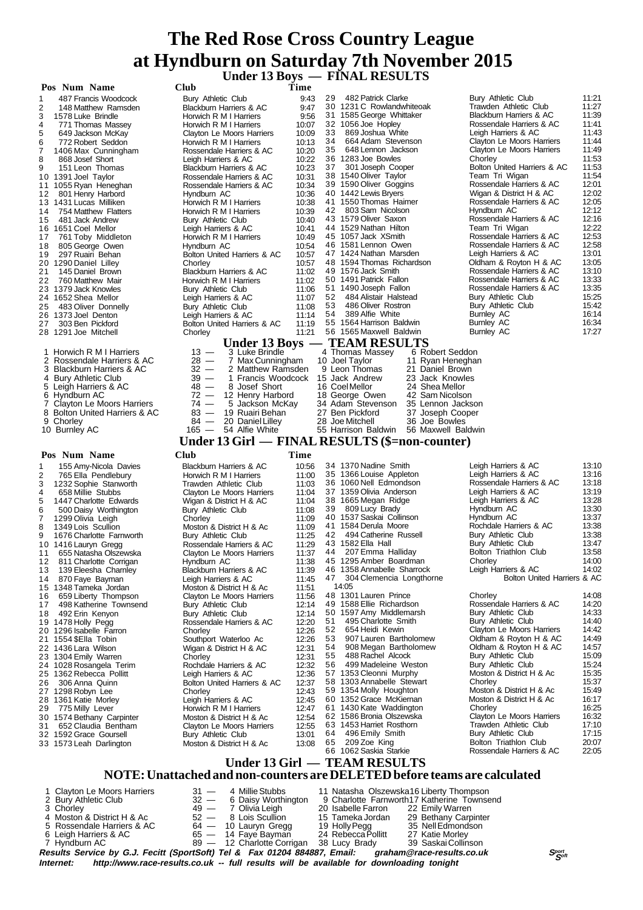**Under 13 Boys — FINAL RESULTS**

| Pos Num Name                                        | <b>Club</b>                                             | Time           |                                                                                                           |                                                      |                |
|-----------------------------------------------------|---------------------------------------------------------|----------------|-----------------------------------------------------------------------------------------------------------|------------------------------------------------------|----------------|
| 487 Francis Woodcock<br>1                           | Bury Athletic Club                                      | 9:43           | 482 Patrick Clarke<br>29                                                                                  | Bury Athletic Club                                   | 11:21          |
| 2<br>148 Matthew Ramsden                            | Blackburn Harriers & AC                                 | 9:47           | 30 1231 C Rowlandwhiteoak                                                                                 | Trawden Athletic Club                                | 11:27          |
| 3<br>1578 Luke Brindle                              | Horwich R M I Harriers                                  | 9:56           | 31 1585 George Whittaker                                                                                  | Blackburn Harriers & AC                              | 11:39          |
| 4<br>771 Thomas Massey                              | Horwich R M I Harriers                                  | 10:07          | 32 1056 Joe Hopley<br>33                                                                                  | Rossendale Harriers & AC                             | 11:41<br>11:43 |
| 5<br>649 Jackson McKay<br>6<br>772 Robert Seddon    | Clayton Le Moors Harriers                               | 10:09<br>10:13 | 869 Joshua White<br>34<br>664 Adam Stevenson                                                              | Leigh Harriers & AC<br>Clayton Le Moors Harriers     | 11:44          |
| 7<br>1406 Max Cunningham                            | Horwich R M I Harriers<br>Rossendale Harriers & AC      | 10:20          | 35<br>648 Lennon Jackson                                                                                  | Clayton Le Moors Harriers                            | 11:49          |
| 8<br>868 Josef Short                                | Leigh Harriers & AC                                     | 10:22          | 36 1283 Joe Bowles                                                                                        | Chorley                                              | 11:53          |
| 9<br>151 Leon Thomas                                | Blackburn Harriers & AC                                 | 10:23          | 37<br>301 Joseph Cooper                                                                                   | Bolton United Harriers & AC                          | 11:53          |
| 10 1391 Joel Taylor                                 | Rossendale Harriers & AC                                | 10:31          | 38 1540 Oliver Taylor                                                                                     | Team Tri Wigan                                       | 11:54          |
| 11 1055 Ryan Heneghan                               | Rossendale Harriers & AC                                | 10:34          | 39 1590 Oliver Goggins                                                                                    | Rossendale Harriers & AC                             | 12:01          |
| 12<br>801 Henry Harbord                             | Hyndburn AC                                             | 10:36          | 40 1442 Lewis Bryers                                                                                      | Wigan & District H & AC                              | 12:02          |
| 13 1431 Lucas Milliken                              | Horwich R M I Harriers                                  | 10:38          | 41 1550 Thomas Haimer<br>42 803 Sam Nicolson                                                              | Rossendale Harriers & AC<br>Hyndburn AC              | 12:05<br>12:12 |
| 754 Matthew Flatters<br>14<br>15<br>481 Jack Andrew | Horwich R M I Harriers<br>Bury Athletic Club            | 10:39<br>10:40 | 43 1579 Oliver Saxon                                                                                      | Rossendale Harriers & AC                             | 12:16          |
| 16 1651 Coel Mellor                                 | Leigh Harriers & AC                                     | 10:41          | 44 1529 Nathan Hilton                                                                                     | Team Tri Wigan                                       | 12:22          |
| 17<br>761 Toby Middleton                            | Horwich R M I Harriers                                  | 10:49          | 45 1057 Jack XSmith                                                                                       | Rossendale Harriers & AC                             | 12:53          |
| 18<br>805 George Owen                               | Hyndburn AC                                             | 10:54          | 46 1581 Lennon Owen                                                                                       | Rossendale Harriers & AC                             | 12:58          |
| 19<br>297 Ruairi Behan                              | Bolton United Harriers & AC                             | 10:57          | 47 1424 Nathan Marsden                                                                                    | Leigh Harriers & AC                                  | 13:01          |
| 20 1290 Daniel Lilley                               | Chorley                                                 | 10:57          | 48 1594 Thomas Richardson                                                                                 | Oldham & Royton H & AC                               | 13:05          |
| 21<br>145 Daniel Brown                              | Blackburn Harriers & AC                                 | 11:02          | 49 1576 Jack Smith                                                                                        | Rossendale Harriers & AC                             | 13:10<br>13:33 |
| 760 Matthew Mair<br>22<br>23 1379 Jack Knowles      | Horwich R M I Harriers                                  | 11:02<br>11:06 | 50 1491 Patrick Fallon<br>51 1490 Joseph Fallon                                                           | Rossendale Harriers & AC<br>Rossendale Harriers & AC | 13:35          |
| 24 1652 Shea Mellor                                 | Bury Athletic Club<br>Leigh Harriers & AC               | 11:07          | 52<br>484 Alistair Halstead                                                                               | Bury Athletic Club                                   | 15:25          |
| 483 Oliver Donnelly<br>25                           | Bury Athletic Club                                      | 11:08          | 53<br>486 Oliver Rostron                                                                                  | Bury Athletic Club                                   | 15:42          |
| 26 1373 Joel Denton                                 | Leigh Harriers & AC                                     | 11:14          | 54<br>389 Alfie White                                                                                     | Burnley AC                                           | 16:14          |
| 303 Ben Pickford<br>27                              | Bolton United Harriers & AC                             | 11:19          | 55 1564 Harrison Baldwin                                                                                  | Burnley AC                                           | 16:34          |
| 28 1291 Joe Mitchell                                | Chorley                                                 | 11:21          | 56 1565 Maxwell Baldwin                                                                                   | Burnley AC                                           | 17:27          |
|                                                     | Under 13 Boys –                                         |                | <b>TEAM RESULTS</b>                                                                                       |                                                      |                |
| 1 Horwich R M I Harriers                            | $13 -$<br>3 Luke Brindle                                |                | 4 Thomas Massey<br>6 Robert Seddon                                                                        |                                                      |                |
| 2<br>Rossendale Harriers & AC                       | $28 -$<br>7 Max Cunningham                              |                | 10 Joel Taylor<br>11 Ryan Heneghan                                                                        |                                                      |                |
| 3 Blackburn Harriers & AC                           | $32 -$<br>2 Matthew Ramsden                             |                | 9 Leon Thomas<br>21 Daniel Brown                                                                          |                                                      |                |
| 4 Bury Athletic Club<br>5 Leigh Harriers & AC       | $39 -$<br>1 Francis Woodcock<br>$48 -$<br>8 Josef Short |                | 15 Jack Andrew<br>23 Jack Knowles<br>16 CoelMellor<br>24 Shea Mellor                                      |                                                      |                |
| 6 Hyndburn AC                                       | $72 -$<br>12 Henry Harbord                              |                | 18 George Owen<br>42 Sam Nicolson                                                                         |                                                      |                |
| 7<br>Clayton Le Moors Harriers                      | $74 -$<br>5 Jackson McKay                               |                | 34 Adam Stevenson<br>35 Lennon Jackson                                                                    |                                                      |                |
| Bolton United Harriers & AC<br>8                    | $83 -$<br>19 Ruairi Behan                               |                | 27 Ben Pickford<br>37 Joseph Cooper                                                                       |                                                      |                |
| 9 Chorley                                           | $84 -$<br>20 Daniel Lilley                              |                | 28 Joe Mitchell<br>36 Joe Bowles                                                                          |                                                      |                |
| 10 Burnley AC                                       | 165 - 54 Alfie White                                    |                | 55 Harrison Baldwin<br>56 Maxwell Baldwin                                                                 |                                                      |                |
|                                                     |                                                         |                | Under 13 Girl — FINAL RESULTS (\$=non-counter)                                                            |                                                      |                |
| Pos Num Name                                        | Club                                                    | Time           |                                                                                                           |                                                      |                |
| 155 Amy-Nicola Davies<br>1                          | <b>Blackburn Harriers &amp; AC</b>                      | 10:56          | 34 1370 Nadine Smith                                                                                      |                                                      |                |
| 2                                                   |                                                         |                |                                                                                                           |                                                      |                |
|                                                     |                                                         |                | 35 1366 Louise Appleton                                                                                   | Leigh Harriers & AC<br>Leigh Harriers & AC           | 13:10<br>13:16 |
| 765 Ella Pendlebury<br>3<br>1232 Sophie Stanworth   | Horwich R M I Harriers<br>Trawden Athletic Club         | 11:00<br>11:03 | 36 1060 Nell Edmondson                                                                                    | Rossendale Harriers & AC                             | 13:18          |
| 4<br>658 Millie Stubbs                              | Clayton Le Moors Harriers                               | 11:04          | 37 1359 Olivia Anderson                                                                                   | Leigh Harriers & AC                                  | 13:19          |
| 5<br>1447 Charlotte Edwards                         | Wigan & District H & AC                                 | 11:04          | 38 1665 Megan Ridge                                                                                       | Leigh Harriers & AC                                  | 13:28          |
| 6<br>500 Daisy Worthington                          | Bury Athletic Club                                      | 11:08          | 39<br>809 Lucy Brady                                                                                      | Hyndburn AC                                          | 13:30          |
| 7<br>1299 Olivia Leigh                              | Chorley                                                 | 11:09          | 40 1537 Saskai Collinson                                                                                  | Hyndburn AC                                          | 13:37          |
| 1349 Lois Scullion<br>8                             | Moston & District H & Ac                                | 11:09          | 41 1584 Derula Moore                                                                                      | Rochdale Harriers & AC                               | 13:38          |
| 1676 Charlotte Farnworth<br>9                       | Bury Athletic Club                                      | 11:25          | 42<br>494 Catherine Russell<br>43 1582 Ella Hall                                                          | Bury Athletic Club<br>Bury Athletic Club             | 13:38<br>13:47 |
| 10 1416 Lauryn Gregg<br>655 Natasha Olszewska<br>11 | Rossendale Harriers & AC<br>Clayton Le Moors Harriers   | 11:29<br>11:37 | 44 207 Emma Halliday                                                                                      | Bolton Triathlon Club                                | 13:58          |
| 12<br>811 Charlotte Corrigan                        | Hyndburn AC                                             | 11:38          | 45 1295 Amber Boardman                                                                                    | Chorley                                              | 14:00          |
| 13<br>139 Eleesha Charnley                          | Blackburn Harriers & AC                                 | 11:39          | 46 1358 Annabelle Sharrock                                                                                | Leigh Harriers & AC                                  | 14:02          |
| 14<br>870 Faye Bayman                               | Leigh Harriers & AC                                     | 11:45          | 304 Clemencia Longthorne<br>47                                                                            | Bolton United Harriers & AC                          |                |
| 15 1348 Tameka Jordan                               | Moston & District H & Ac                                | 11:51          | 14:05                                                                                                     |                                                      |                |
| 659 Liberty Thompson<br>16                          | Clayton Le Moors Harriers                               | 11:56          | 48 1301 Lauren Prince                                                                                     | Chorley                                              | 14:08          |
| 498 Katherine Townsend<br>17                        | <b>Bury Athletic Club</b>                               | 12:14          | 49 1588 Ellie Richardson                                                                                  | Rossendale Harriers & AC<br>Bury Athletic Club       | 14:20<br>14:33 |
| 492 Erin Kenyon<br>18                               | Bury Athletic Club<br>Rossendale Harriers & AC          | 12:14<br>12:20 | 50 1597 Amy Middlemarsh<br>495 Charlotte Smith<br>51                                                      | Bury Athletic Club                                   | 14:40          |
| 19 1478 Holly Pegg<br>20 1296 Isabelle Farron       | Chorley                                                 | 12:26          | 52<br>654 Heidi Kewin                                                                                     | <b>Clayton Le Moors Harriers</b>                     | 14:42          |
| 21 1554 \$Ella Tobin                                | Southport Waterloo Ac                                   | 12:26          | 53<br>907 Lauren Bartholomew                                                                              | Oldham & Royton H & AC                               | 14:49          |
| 22 1436 Lara Wilson                                 | Wigan & District H & AC                                 | 12:31          | 54<br>908 Megan Bartholomew                                                                               | Oldham & Royton H & AC                               | 14:57          |
| 23 1304 Emily Warren                                | Chorley                                                 | 12:31          | 55<br>488 Rachel Alcock                                                                                   | <b>Bury Athletic Club</b>                            | 15:09          |
| 24 1028 Rosangela Terim                             | Rochdale Harriers & AC                                  | 12:32          | 499 Madeleine Weston<br>56                                                                                | Bury Athletic Club                                   | 15:24          |
| 25 1362 Rebecca Pollitt                             | Leigh Harriers & AC                                     | 12:36          | 57 1353 Cleonni Murphy                                                                                    | Moston & District H & Ac<br>Chorley                  | 15:35<br>15:37 |
| 306 Anna Quinn<br>26<br>27 1298 Robyn Lee           | Bolton United Harriers & AC<br>Chorley                  | 12:37<br>12:43 | 58 1303 Annabelle Stewart<br>59 1354 Molly Houghton                                                       | Moston & District H & Ac                             | 15:49          |
| 28 1361 Katie Morley                                | Leigh Harriers & AC                                     | 12:45          | 60 1352 Grace McKiernan                                                                                   | Moston & District H & Ac                             | 16:17          |
| 775 Milly Lever<br>29                               | Horwich R M I Harriers                                  | 12:47          | 61 1430 Kate Waddington                                                                                   | Chorley                                              | 16:25          |
| 30 1574 Bethany Carpinter                           | Moston & District H & Ac                                | 12:54          | 62 1586 Bronia Olszewska                                                                                  | Clayton Le Moors Harriers                            | 16:32          |
| 652 Claudia Bentham<br>31                           | Clayton Le Moors Harriers                               | 12:55          | 63 1453 Harriet Rosthorn                                                                                  | Trawden Athletic Club                                | 17:10          |
| 32 1592 Grace Goursell                              | Bury Athletic Club                                      | 13:01          | 496 Emily Smith<br>64                                                                                     | Bury Athletic Club                                   | 17:15          |
| 33 1573 Leah Darlington                             | Moston & District H & Ac                                | 13:08          | 65<br>209 Zoe King<br>66 1062 Saskia Starkie                                                              | Bolton Triathlon Club<br>Rossendale Harriers & AC    | 20:07<br>22:05 |
|                                                     |                                                         |                |                                                                                                           |                                                      |                |
|                                                     |                                                         |                | Under 13 Girl — TEAM RESULTS<br>NOTE: Unattached and non-counters are DELETED before teams are calculated |                                                      |                |

| 1 Clayton Le Moors Harriers                                                                         | $31 -$ | 4 Millie Stubbs                          | 11 Natasha Olszewska16 Liberty Thompson |                                                                      |               |
|-----------------------------------------------------------------------------------------------------|--------|------------------------------------------|-----------------------------------------|----------------------------------------------------------------------|---------------|
| 2 Bury Athletic Club                                                                                |        |                                          |                                         | 32 - 6 Daisy Worthington 9 Charlotte Farnworth 17 Katherine Townsend |               |
| 3 Chorley                                                                                           |        | 49 — 7 Olivia Leigh                      | 20 Isabelle Farron 22 Emily Warren      |                                                                      |               |
| 4 Moston & District H & Ac                                                                          |        | $52 - 8$ Lois Scullion                   | 15 Tameka Jordan                        | 29 Bethany Carpinter                                                 |               |
| 5 Rossendale Harriers & AC                                                                          |        | $64 - 10$ Lauryn Gregg                   | 19 Holly Pegg                           | 35 Nell Edmondson                                                    |               |
| 6 Leigh Harriers & AC                                                                               |        | 65 — 14 Faye Bayman                      | 24 Rebecca Pollitt                      | 27 Katie Morley                                                      |               |
| 7 Hyndburn AC                                                                                       |        | 89 - 12 Charlotte Corrigan 38 Lucy Brady |                                         | 39 Saskai Collinson                                                  |               |
| Results Service by G.J. Fecitt (SportSoft) Tel & Fax 01204 884887, Email: graham@race-results.co.uk |        |                                          |                                         |                                                                      | Sport<br>Soft |
| Internet: http://www.race-results.co.uk -- full results will be available for downloading tonight   |        |                                          |                                         |                                                                      |               |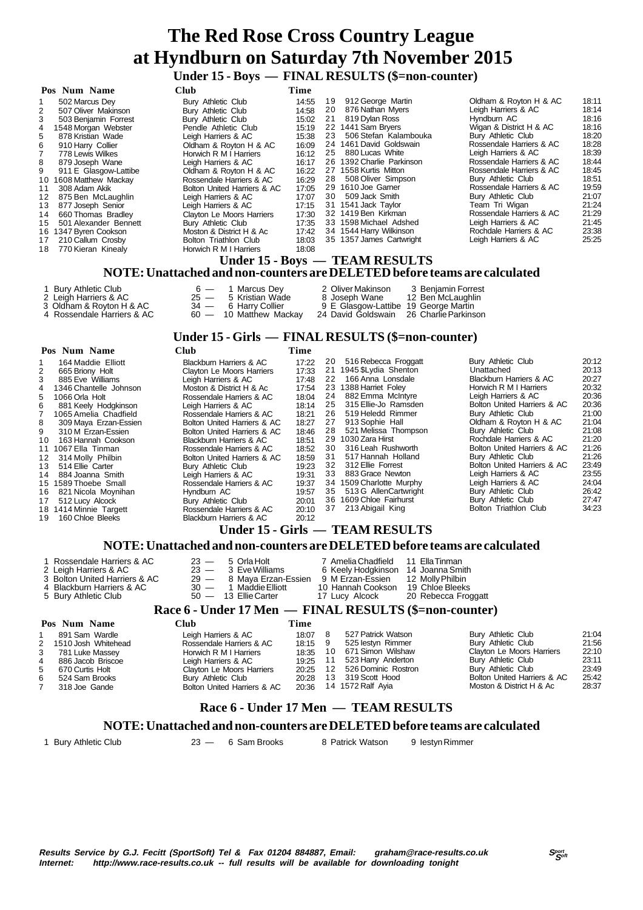### **Under 15 - Boys — FINAL RESULTS (\$=non-counter)**

|                 | Pos Num Name          | <b>Club</b>                 | Time  |    |                                                                           |                          |       |
|-----------------|-----------------------|-----------------------------|-------|----|---------------------------------------------------------------------------|--------------------------|-------|
| 1               | 502 Marcus Dey        | Bury Athletic Club          | 14:55 | 19 | 912 George Martin                                                         | Oldham & Royton H & AC   | 18:11 |
| 2               | 507 Oliver Makinson   | Bury Athletic Club          | 14:58 | 20 | 876 Nathan Myers                                                          | Leigh Harriers & AC      | 18:14 |
| 3               | 503 Benjamin Forrest  | Bury Athletic Club          | 15:02 | 21 | 819 Dylan Ross                                                            | Hyndburn AC              | 18:16 |
| 4               | 1548 Morgan Webster   | Pendle Athletic Club        | 15:19 |    | 22 1441 Sam Bryers                                                        | Wigan & District H & AC  | 18:16 |
| 5               | 878 Kristian Wade     | Leigh Harriers & AC         | 15:38 | 23 | 506 Stefan Kalambouka                                                     | Bury Athletic Club       | 18:20 |
| 6               | 910 Harry Collier     | Oldham & Royton H & AC      | 16:09 |    | 24 1461 David Goldswain                                                   | Rossendale Harriers & AC | 18:28 |
|                 | 778 Lewis Wilkes      | Horwich R M I Harriers      | 16:12 | 25 | 880 Lucas White                                                           | Leigh Harriers & AC      | 18:39 |
| 8               | 879 Joseph Wane       | Leigh Harriers & AC         | 16:17 |    | 26 1392 Charlie Parkinson                                                 | Rossendale Harriers & AC | 18:44 |
| 9               | 911 E Glasgow-Lattibe | Oldham & Royton H & AC      | 16:22 |    | 27 1558 Kurtis Mitton                                                     | Rossendale Harriers & AC | 18:45 |
| 10              | 1608 Matthew Mackay   | Rossendale Harriers & AC    | 16:29 | 28 | 508 Oliver Simpson                                                        | Bury Athletic Club       | 18:51 |
| 11              | 308 Adam Akik         | Bolton United Harriers & AC | 17:05 |    | 29 1610 Joe Garner                                                        | Rossendale Harriers & AC | 19:59 |
| 12 <sup>2</sup> | 875 Ben McLaughlin    | Leigh Harriers & AC         | 17:07 | 30 | 509 Jack Smith                                                            | Bury Athletic Club       | 21:07 |
| 13              | 877 Joseph Senior     | Leigh Harriers & AC         | 17:15 |    | 31 1541 Jack Taylor                                                       | Team Tri Wigan           | 21:24 |
| 14              | 660 Thomas Bradley    | Clayton Le Moors Harriers   | 17:30 |    | 32 1419 Ben Kirkman                                                       | Rossendale Harriers & AC | 21:29 |
| 15              | 501 Alexander Bennett | Bury Athletic Club          | 17:35 |    | 33 1598 Michael Adshed                                                    | Leigh Harriers & AC      | 21:45 |
|                 | 16 1347 Byren Cookson | Moston & District H & Ac    | 17:42 |    | 34 1544 Harry Wilkinson                                                   | Rochdale Harriers & AC   | 23:38 |
| 17              | 210 Callum Crosby     | Bolton Triathlon Club       | 18:03 |    | 35 1357 James Cartwright                                                  | Leigh Harriers & AC      | 25:25 |
| 18              | 770 Kieran Kinealy    | Horwich R M I Harriers      | 18:08 |    |                                                                           |                          |       |
|                 |                       |                             |       |    | Under 15 - Boys — TEAM RESULTS                                            |                          |       |
|                 |                       |                             |       |    | NOTE: Unattached and non-counters are DELETED before teams are calculated |                          |       |
|                 | 1 Bury Athletic Club  | 1 Marcus Dey<br>$6 -$       |       |    | 2 Oliver Makinson<br>3 Benjamin Forrest                                   |                          |       |
|                 | 2 Leigh Harriers & AC | 5 Kristian Wade<br>$25 -$   |       |    | 12 Ben McLaughlin<br>8 Joseph Wane                                        |                          |       |

- 3 Oldham & Royton H & AC 34 6 Harry Collier 9 E Glasgow-Lattibe 19 George Martin
- 4 Rossendale Harriers & AC 60 10 Matthew Mackay 24 David Goldswain 26 Charlie Parkinson

# **Under 15 - Girls — FINAL RESULTS (\$=non-counter)**

| Pos Num Name                | <b>Club</b>                 | Time  |    |                                 |                             |       |
|-----------------------------|-----------------------------|-------|----|---------------------------------|-----------------------------|-------|
| 164 Maddie Elliott          | Blackburn Harriers & AC     | 17:22 | 20 | 516 Rebecca Froggatt            | Bury Athletic Club          | 20:12 |
| 2<br>665 Briony Holt        | Clayton Le Moors Harriers   | 17:33 |    | 21 1945 \$Lydia Shenton         | Unattached                  | 20:13 |
| 885 Eve Williams            | Leigh Harriers & AC         | 17:48 | 22 | 166 Anna Lonsdale               | Blackburn Harriers & AC     | 20:27 |
| 1346 Chantelle Johnson<br>4 | Moston & District H & Ac    | 17:54 |    | 23 1388 Harriet Foley           | Horwich R M I Harriers      | 20:32 |
| 1066 Orla Holt<br>5         | Rossendale Harriers & AC    | 18:04 | 24 | 882 Emma McIntyre               | Leigh Harriers & AC         | 20:36 |
| 881 Keely Hodgkinson<br>6   | Leigh Harriers & AC         | 18:14 | 25 | 315 Ellie-Jo Ramsden            | Bolton United Harriers & AC | 20:36 |
| 1065 Amelia Chadfield       | Rossendale Harriers & AC    | 18:21 | 26 | 519 Heledd Rimmer               | Bury Athletic Club          | 21:00 |
| 309 Maya Erzan-Essien<br>8  | Bolton United Harriers & AC | 18:27 | 27 | 913 Sophie Hall                 | Oldham & Rovton H & AC      | 21:04 |
| 310 M Erzan-Essien<br>9     | Bolton United Harriers & AC | 18:46 | 28 | 521 Melissa Thompson            | Bury Athletic Club          | 21:08 |
| 163 Hannah Cookson<br>10    | Blackburn Harriers & AC     | 18:51 | 29 | 1030 Zara Hirst                 | Rochdale Harriers & AC      | 21:20 |
| 11 1067 Ella Tinman         | Rossendale Harriers & AC    | 18:52 | 30 | 316 Leah Rushworth              | Bolton United Harriers & AC | 21:26 |
| 314 Molly Philbin<br>12     | Bolton United Harriers & AC | 18:59 | 31 | 517 Hannah Holland              | Bury Athletic Club          | 21:26 |
| 514 Ellie Carter<br>13      | Bury Athletic Club          | 19:23 | 32 | 312 Ellie Forrest               | Bolton United Harriers & AC | 23:49 |
| 884 Joanna Smith<br>14      | Leigh Harriers & AC         | 19:31 | 33 | 883 Grace Newton                | Leigh Harriers & AC         | 23:55 |
| 15 1589 Thoebe Small        | Rossendale Harriers & AC    | 19:37 |    | 34 1509 Charlotte Murphy        | Leigh Harriers & AC         | 24:04 |
| 821 Nicola Moynihan<br>16   | Hyndburn AC                 | 19:57 | 35 | 513 G Allen Cartwright          | Bury Athletic Club          | 26:42 |
| 512 Lucy Alcock<br>17       | Bury Athletic Club          | 20:01 |    | 36 1609 Chloe Fairhurst         | Bury Athletic Club          | 27:47 |
| 18 1414 Minnie Targett      | Rossendale Harriers & AC    | 20:10 | 37 | 213 Abigail King                | Bolton Triathlon Club       | 34:23 |
| 160 Chloe Bleeks<br>19      | Blackburn Harriers & AC     | 20:12 |    |                                 |                             |       |
|                             |                             |       |    | Under 15 - Girls — TEAM RESULTS |                             |       |

# **NOTE: Unattached and non-counters are DELETED before teams are calculated**

# **Race 6 - Under 17 Men — FINAL RESULTS (\$=non-counter)**

|    | Pos Num Name          | Club                        | Time    |    |                     |                             |       |
|----|-----------------------|-----------------------------|---------|----|---------------------|-----------------------------|-------|
|    | 891 Sam Wardle        | Leigh Harriers & AC         | 18:07   | 8  | 527 Patrick Watson  | Bury Athletic Club          | 21:04 |
|    | 2 1510 Josh Whitehead | Rossendale Harriers & AC    | 18:15 9 |    | 525 lestyn Rimmer   | Bury Athletic Club          | 21:56 |
| 3  | 781 Luke Massey       | Horwich R M I Harriers      | 18:35   | 10 | 671 Simon Wilshaw   | Clayton Le Moors Harriers   | 22:10 |
| 4  | 886 Jacob Briscoe     | Leigh Harriers & AC         | 19:25   | 11 | 523 Harry Anderton  | Bury Athletic Club          | 23:11 |
| 5. | 670 Curtis Holt       | Clayton Le Moors Harriers   | 20:25   | 12 | 526 Dominic Rostron | Bury Athletic Club          | 23:49 |
| 6. | 524 Sam Brooks        | Bury Athletic Club          | 20:28   | 13 | 319 Scott Hood      | Bolton United Harriers & AC | 25:42 |
|    | 318 Joe Gande         | Bolton United Harriers & AC | 20:36   |    | 14 1572 Ralf Ayia   | Moston & District H & Ac    | 28:37 |
|    |                       |                             |         |    |                     |                             |       |

# **Race 6 - Under 17 Men — TEAM RESULTS**

#### **NOTE: Unattached and non-counters are DELETED before teams are calculated**

1 Bury Athletic Club 23 — 6 Sam Brooks 8 Patrick Watson 9 Iestyn Rimmer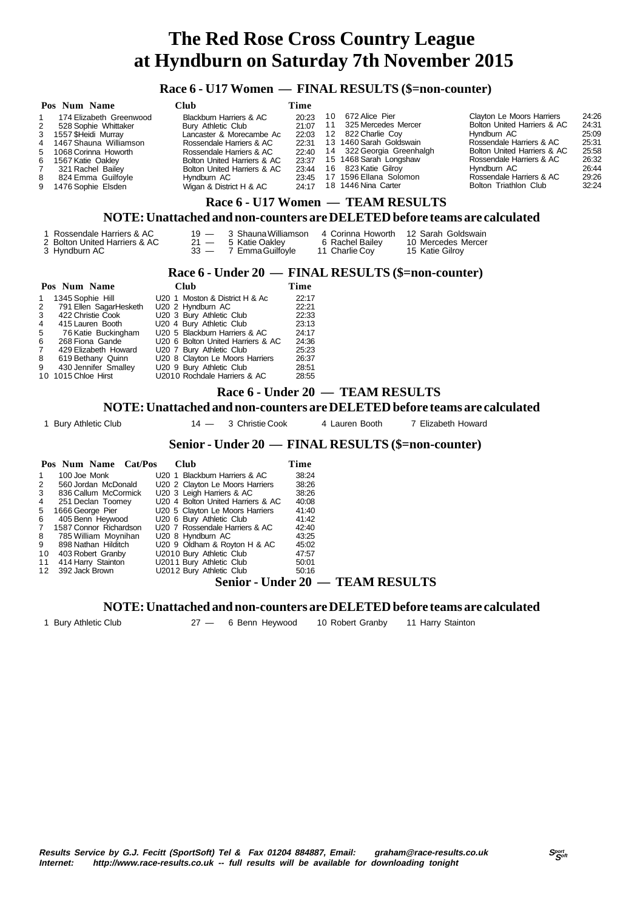### **Race 6 - U17 Women — FINAL RESULTS (\$=non-counter)**

|   | Pos Num Name             | Club                        | Time  |    |                           |                             |       |
|---|--------------------------|-----------------------------|-------|----|---------------------------|-----------------------------|-------|
|   | 174 Elizabeth Greenwood  | Blackburn Harriers & AC     | 20:23 | 10 | 672 Alice Pier            | Clayton Le Moors Harriers   | 24:26 |
| 2 | 528 Sophie Whittaker     | Bury Athletic Club          | 21:07 | 11 | 325 Mercedes Mercer       | Bolton United Harriers & AC | 24:31 |
|   | 3 1557 SHeidi Murray     | Lancaster & Morecambe Ac    | 22:03 |    | 12 822 Charlie Coy        | Hyndburn AC                 | 25:09 |
|   | 4 1467 Shauna Williamson | Rossendale Harriers & AC    | 22:31 |    | 13 1460 Sarah Goldswain   | Rossendale Harriers & AC    | 25:31 |
|   | 5 1068 Corinna Howorth   | Rossendale Harriers & AC    | 22:40 |    | 14 322 Georgia Greenhalgh | Bolton United Harriers & AC | 25:58 |
|   | 6 1567 Katie Oaklev      | Bolton United Harriers & AC | 23:37 |    | 15 1468 Sarah Longshaw    | Rossendale Harriers & AC    | 26:32 |
|   | 321 Rachel Bailey        | Bolton United Harriers & AC | 23:44 |    | 16 823 Katie Gilroy       | Hvndburn AC                 | 26:44 |
| 8 | 824 Emma Guilfoyle       | Hvndburn AC                 | 23:45 |    | 17 1596 Ellana Solomon    | Rossendale Harriers & AC    | 29:26 |
|   | 9 1476 Sophie Elsden     | Wigan & District H & AC     | 24:17 |    | 18 1446 Nina Carter       | Bolton Triathlon Club       | 32:24 |
|   |                          | --------                    |       |    |                           |                             |       |

### **Race 6 - U17 Women — TEAM RESULTS**

### **NOTE: Unattached and non-counters are DELETED before teams are calculated**

| 1 Rossendale Harriers & AC<br>2 Bolton United Harriers & AC<br>3 Hyndburn AC | $21 -$ | 19 — 3 Shauna Williamson<br>5 Katie Oakley<br>33 - 7 Emma Guilfovle | 6 Rachel Bailey<br>11 Charlie Cov | 4 Corinna Howorth 12 Sarah Goldswain<br>10 Mercedes Mercer<br>15 Katie Gilrov |
|------------------------------------------------------------------------------|--------|---------------------------------------------------------------------|-----------------------------------|-------------------------------------------------------------------------------|
|------------------------------------------------------------------------------|--------|---------------------------------------------------------------------|-----------------------------------|-------------------------------------------------------------------------------|

### **Race 6 - Under 20 — FINAL RESULTS (\$=non-counter)**

|                | Pos Num Name           | <b>Club</b>                       | Time  |  |
|----------------|------------------------|-----------------------------------|-------|--|
| $\mathbf{1}$   | 1345 Sophie Hill       | U20 1 Moston & District H & Ac    | 22:17 |  |
| $2^{\circ}$    | 791 Ellen SagarHesketh | U20 2 Hyndburn AC                 | 22:21 |  |
| 3              | 422 Christie Cook      | U20 3 Bury Athletic Club          | 22:33 |  |
| $\overline{4}$ | 415 Lauren Booth       | U20 4 Bury Athletic Club          | 23:13 |  |
| 5 <sup>5</sup> | 76 Katie Buckingham    | U20 5 Blackburn Harriers & AC     | 24:17 |  |
| 6              | 268 Fiona Gande        | U20 6 Bolton United Harriers & AC | 24:36 |  |
| $7^{\circ}$    | 429 Elizabeth Howard   | U20 7 Bury Athletic Club          | 25:23 |  |
| 8              | 619 Bethany Quinn      | U20 8 Clayton Le Moors Harriers   | 26:37 |  |
| 9              | 430 Jennifer Smalley   | U20 9 Bury Athletic Club          | 28:51 |  |
|                | 10 1015 Chloe Hirst    | U2010 Rochdale Harriers & AC      | 28:55 |  |

### **Race 6 - Under 20 — TEAM RESULTS**

#### **NOTE: Unattached and non-counters are DELETED before teams are calculated**

1 Bury Athletic Club 14 - 3 Christie Cook 4 Lauren Booth 7 Elizabeth Howard

### **Senior - Under 20 — FINAL RESULTS (\$=non-counter)**

|    | Pos Num Name Cat/Pos   | Club                              | Time                     |  |
|----|------------------------|-----------------------------------|--------------------------|--|
|    | 100 Joe Monk           | U20 1 Blackburn Harriers & AC     | 38:24                    |  |
| 2  | 560 Jordan McDonald    | U20 2 Clayton Le Moors Harriers   | 38:26                    |  |
| 3  | 836 Callum McCormick   | U20 3 Leigh Harriers & AC         | 38:26                    |  |
| 4  | 251 Declan Toomey      | U20 4 Bolton United Harriers & AC | 40:08                    |  |
| 5  | 1666 George Pier       | U20 5 Clayton Le Moors Harriers   | 41:40                    |  |
| 6  | 405 Benn Heywood       | U20 6 Bury Athletic Club          | 41:42                    |  |
|    | 1587 Connor Richardson | U20 7 Rossendale Harriers & AC    | 42:40                    |  |
| 8  | 785 William Moynihan   | U20 8 Hyndburn AC                 | 43:25                    |  |
| 9  | 898 Nathan Hilditch    | U20 9 Oldham & Royton H & AC      | 45:02                    |  |
| 10 | 403 Robert Granby      | U2010 Bury Athletic Club          | 47:57                    |  |
| 11 | 414 Harry Stainton     | U2011 Bury Athletic Club          | 50:01                    |  |
| 12 | 392 Jack Brown         | U2012 Bury Athletic Club          | 50:16                    |  |
|    |                        |                                   | Senior - Under 20 — TEA1 |  |

#### **Senior - Under 20 — TEAM RESULTS**

#### **NOTE: Unattached and non-counters are DELETED before teams are calculated**

1 Bury Athletic Club 27 — 6 Benn Heywood 10 Robert Granby 11 Harry Stainton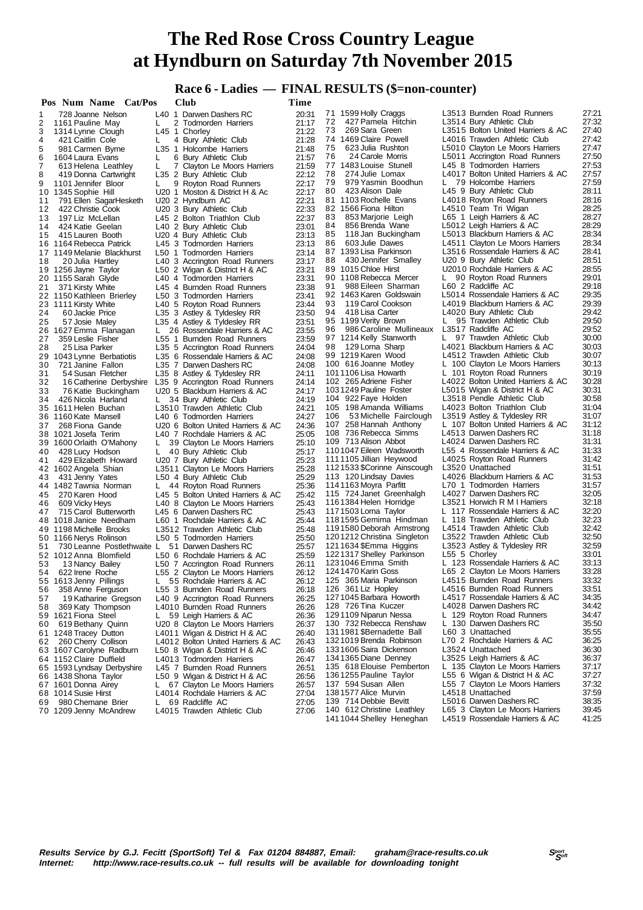# **Race 6 - Ladies — FINAL RESULTS (\$=non-counter)**

|        | Pos Num Name Cat/Pos                                                      |    | Club                                                             | Time           |                                                       |    |                                                                  |                |
|--------|---------------------------------------------------------------------------|----|------------------------------------------------------------------|----------------|-------------------------------------------------------|----|------------------------------------------------------------------|----------------|
| 1      | 728 Joanne Nelson                                                         |    | L40 1 Darwen Dashers RC                                          | 20:31          | 71 1599 Holly Craggs                                  |    | L3513 Burnden Road Runners                                       | 27:21          |
| 2      | 1161 Pauline May                                                          | L  | 2 Todmorden Harriers                                             | 21:17          | 72<br>427 Pamela Hitchin                              |    | L3514 Bury Athletic Club                                         | 27:32          |
| 3      | 1314 Lynne Clough                                                         |    | L45 1 Chorley                                                    | 21:22          | 73<br>269 Sara Green                                  |    | L3515 Bolton United Harriers & AC                                | 27:40          |
| 4      | 421 Caitlin Cole                                                          | L. | 4 Bury Athletic Club                                             | 21:28          | 74 1469 Claire Powell                                 |    | L4016 Trawden Athletic Club                                      | 27:42          |
| 5      | 981 Carmen Byrne                                                          |    | L35 1 Holcombe Harriers                                          | 21:48          | 75<br>623 Julia Rushton<br>76                         |    | L5010 Clayton Le Moors Harriers                                  | 27:47<br>27:50 |
| 6<br>7 | 1604 Laura Evans<br>613 Helena Leathley                                   | L  | 6 Bury Athletic Club                                             | 21:57          | 24 Carole Morris<br>77 1483 Louise Stunell            |    | L5011 Accrington Road Runners<br>L45 8 Todmorden Harriers        | 27:53          |
| 8      | 419 Donna Cartwright                                                      | L  | 7 Clayton Le Moors Harriers<br>L35 2 Bury Athletic Club          | 21:59<br>22:12 | 78<br>274 Julie Lomax                                 |    | L4017 Bolton United Harriers & AC                                | 27:57          |
| 9      | 1101 Jennifer Bloor                                                       | L  | 9 Royton Road Runners                                            | 22:17          | 79<br>979 Yasmin Boodhun                              |    | L 79 Holcombe Harriers                                           | 27:59          |
|        | 10 1345 Sophie Hill                                                       |    | U20 1 Moston & District H & Ac                                   | 22:17          | 423 Alison Dale<br>80                                 |    | L45 9 Bury Athletic Club                                         | 28:11          |
| 11     | 791 Ellen SagarHesketh                                                    |    | U20 2 Hyndburn AC                                                | 22:21          | 81 1103 Rochelle Evans                                |    | L4018 Royton Road Runners                                        | 28:16          |
| 12     | 422 Christie Cook                                                         |    | U20 3 Bury Athletic Club                                         | 22:33          | 82 1566 Fiona Hilton                                  |    | L4510 Team Tri Wigan                                             | 28:25          |
| 13     | 197 Liz McLellan                                                          |    | L45 2 Bolton Triathlon Club                                      | 22:37          | 83<br>853 Marjorie Leigh                              |    | L65 1 Leigh Harriers & AC                                        | 28:27          |
| 14     | 424 Katie Geelan                                                          |    | L40 2 Bury Athletic Club                                         | 23:01          | 84<br>856 Brenda Wane                                 |    | L5012 Leigh Harriers & AC                                        | 28:29          |
| 15     | 415 Lauren Booth                                                          |    | U20 4 Bury Athletic Club                                         | 23:13          | 85<br>118 Jan Buckingham<br>86<br>603 Julie Dawes     |    | L5013 Blackburn Harriers & AC<br>L4511 Clayton Le Moors Harriers | 28:34<br>28:34 |
|        | 16 1164 Rebecca Patrick<br>17 1149 Melanie Blackhurst                     |    | L45 3 Todmorden Harriers<br>L50 1 Todmorden Harriers             | 23:13<br>23:14 | 87 1393 Lisa Parkinson                                |    | L3516 Rossendale Harriers & AC                                   | 28:41          |
| 18     | 20 Julia Hartley                                                          |    | L40 3 Accrington Road Runners                                    | 23:17          | 88<br>430 Jennifer Smalley                            |    | U20 9 Bury Athletic Club                                         | 28:51          |
|        | 19 1256 Jayne Taylor                                                      |    | L50 2 Wigan & District H & AC                                    | 23:21          | 89 1015 Chloe Hirst                                   |    | U2010 Rochdale Harriers & AC                                     | 28:55          |
|        | 20 1155 Sarah Glyde                                                       |    | L40 4 Todmorden Harriers                                         | 23:31          | 90 1108 Rebecca Mercer                                | L. | 90 Royton Road Runners                                           | 29:01          |
| 21     | 371 Kirsty White                                                          |    | L45 4 Burnden Road Runners                                       | 23:38          | 91<br>988 Eileen Sharman                              |    | L60 2 Radcliffe AC                                               | 29:18          |
|        | 22 1150 Kathleen Brierley                                                 |    | L50 3 Todmorden Harriers                                         | 23:41          | 92 1463 Karen Goldswain                               |    | L5014 Rossendale Harriers & AC                                   | 29:35          |
|        | 23 1111 Kirsty White                                                      |    | L40 5 Royton Road Runners                                        | 23:44          | 93<br>119 Carol Cookson                               |    | L4019 Blackburn Harriers & AC                                    | 29:39          |
| 24     | 60 Jackie Price                                                           |    | L35 3 Astley & Tyldesley RR                                      | 23:50          | 94<br>418 Lisa Carter                                 |    | L4020 Bury Athletic Club                                         | 29:42          |
| 25     | 57 Josie Maley                                                            |    | L35 4 Astley & Tyldesley RR                                      | 23:51          | 95 1199 Verity Brown<br>986 Caroline Mullineaux<br>96 |    | L 95 Trawden Athletic Club<br>L3517 Radcliffe AC                 | 29:50<br>29:52 |
| 27     | 26 1627 Emma Flanagan<br>359 Leslie Fisher                                | L. | 26 Rossendale Harriers & AC<br>L55 1 Burnden Road Runners        | 23:55<br>23:59 | 97 1214 Kelly Stanworth                               |    | L 97 Trawden Athletic Club                                       | 30:00          |
| 28     | 25 Lisa Parker                                                            |    | L35 5 Accrington Road Runners                                    | 24:04          | 129 Lorna Sharp<br>98                                 |    | L4021 Blackburn Harriers & AC                                    | 30:03          |
|        | 29 1043 Lynne Berbatiotis                                                 |    | L35 6 Rossendale Harriers & AC                                   | 24:08          | 99 1219 Karen Wood                                    |    | L4512 Trawden Athletic Club                                      | 30:07          |
| 30     | 721 Janine Fallon                                                         |    | L35 7 Darwen Dashers RC                                          | 24:08          | 100 616 Joanne Motley                                 |    | L 100 Clayton Le Moors Harriers                                  | 30:13          |
| 31     | 54 Susan Fletcher                                                         |    | L35 8 Astley & Tyldesley RR                                      | 24:11          | 1011106 Lisa Howarth                                  |    | L 101 Royton Road Runners                                        | 30:19          |
| 32     | 16 Catherine Derbyshire                                                   |    | L35 9 Accrington Road Runners                                    | 24:14          | 102 265 Adriene Fisher                                |    | L4022 Bolton United Harriers & AC                                | 30:28          |
| 33     | 76 Katie Buckingham                                                       |    | U20 5 Blackburn Harriers & AC                                    | 24:17          | 1031249 Pauline Foster                                |    | L5015 Wigan & District H & AC                                    | 30:31          |
| 34     | 426 Nicola Harland<br>35 1611 Helen Buchan                                | L. | 34 Bury Athletic Club<br>L3510 Trawden Athletic Club             | 24:19<br>24:21 | 104 922 Faye Holden<br>105 198 Amanda Williams        |    | L3518 Pendle Athletic Club<br>L4023 Bolton Triathlon Club        | 30:58<br>31:04 |
|        | 36 1160 Kate Mansell                                                      |    | L40 6 Todmorden Harriers                                         | 24:27          | 106<br>53 Michelle Fairclough                         |    | L3519 Astley & Tyldesley RR                                      | 31:07          |
| 37     | 268 Fiona Gande                                                           |    | U20 6 Bolton United Harriers & AC                                | 24:36          | 107 258 Hannah Anthony                                |    | L 107 Bolton United Harriers & AC                                | 31:12          |
|        | 38 1021 Josefa Terim                                                      |    | L40 7 Rochdale Harriers & AC                                     | 25:05          | 108 736 Rebecca Simms                                 |    | L4513 Darwen Dashers RC                                          | 31:18          |
|        | 39 1600 Orlaith O'Mahony                                                  |    | L 39 Clayton Le Moors Harriers                                   | 25:10          | 109 713 Alison Abbot                                  |    | L4024 Darwen Dashers RC                                          | 31:31          |
| 40     | 428 Lucy Hodson                                                           | L. | 40 Bury Athletic Club                                            | 25:17          | 1101047 Eileen Wadsworth                              |    | L55 4 Rossendale Harriers & AC                                   | 31:33          |
| 41     | 429 Elizabeth Howard                                                      |    | U20 7 Bury Athletic Club                                         | 25:23          | 1111105 Jillian Heywood                               |    | L4025 Royton Road Runners                                        | 31:42          |
|        | 42 1602 Angela Shian                                                      |    | L3511 Clayton Le Moors Harriers                                  | 25:28          | 1121533 \$Corinne Ainscough<br>113 120 Lindsay Davies |    | L3520 Unattached<br>L4026 Blackburn Harriers & AC                | 31:51<br>31:53 |
| 43     | 431 Jenny Yates<br>44 1482 Tawnia Norman                                  | L. | L50 4 Bury Athletic Club<br>44 Royton Road Runners               | 25:29<br>25:36 | 1141163 Moyra Parfitt                                 |    | L70 1 Todmorden Harriers                                         | 31:57          |
| 45     | 270 Karen Hood                                                            |    | L45 5 Bolton United Harriers & AC                                | 25:42          | 115 724 Janet Greenhalgh                              |    | L4027 Darwen Dashers RC                                          | 32:05          |
| 46     | 609 Vicky Heys                                                            |    | L40 8 Clayton Le Moors Harriers                                  | 25:43          | 1161384 Helen Horridge                                |    | L3521 Horwich R M I Harriers                                     | 32:18          |
| 47     | 715 Carol Butterworth                                                     |    | L45 6 Darwen Dashers RC                                          | 25:43          | 1171503 Lorna Taylor                                  |    | L 117 Rossendale Harriers & AC                                   | 32:20          |
|        | 48 1018 Janice Needham                                                    |    | L60 1 Rochdale Harriers & AC                                     | 25:44          | 1181595 Gemima Hindman                                |    | L 118 Trawden Athletic Club                                      | 32:23          |
|        | 49 1198 Michelle Brooks                                                   |    | L3512 Trawden Athletic Club                                      | 25:48          | 1191580 Deborah Armstrong                             |    | L4514 Trawden Athletic Club                                      | 32:42          |
|        | 50 1166 Nerys Rolinson                                                    |    | L50 5 Todmorden Harriers                                         | 25:50          | 1201212 Christina Singleton                           |    | L3522 Trawden Athletic Club                                      | 32:50<br>32:59 |
| 51     | 730 Leanne Postlethwaite L 51 Darwen Dashers RC<br>52 1012 Anna Blomfield |    | L50 6 Rochdale Harriers & AC                                     | 25:57<br>25:59 | 1211634 \$Emma Higgins<br>1221317 Shelley Parkinson   |    | L3523 Astley & Tyldesley RR<br>L55 5 Chorley                     | 33:01          |
| 53     | 13 Nancy Bailey                                                           |    | L50 7 Accrington Road Runners                                    | 26:11          | 1231046 Emma Smith                                    |    | L 123 Rossendale Harriers & AC                                   | 33:13          |
| 54     | 622 Irene Roche                                                           |    | L55 2 Clayton Le Moors Harriers                                  | 26:12          | 1241470 Karin Goss                                    |    | L65 2 Clayton Le Moors Harriers                                  | 33:28          |
|        | 55 1613 Jenny Pillings                                                    |    | 55 Rochdale Harriers & AC                                        | 26:12          | 125 365 Maria Parkinson                               |    | L4515 Burnden Road Runners                                       | 33:32          |
| 56     | 358 Anne Ferguson                                                         |    | L55 3 Burnden Road Runners                                       | 26:18          | 126 361 Liz Hopley                                    |    | L4516 Burnden Road Runners                                       | 33:51          |
| 57     | 19 Katharine Gregson                                                      |    | L40 9 Accrington Road Runners                                    | 26:25          | 1271045 Barbara Howorth                               |    | L4517 Rossendale Harriers & AC                                   | 34:35          |
| 58     | 369 Katy Thompson                                                         |    | L4010 Burnden Road Runners                                       | 26:26          | 128 726 Tina Kuczer                                   |    | L4028 Darwen Dashers RC                                          | 34:42          |
|        | 59 1621 Fiona Steel                                                       | L. | 59 Leigh Harriers & AC                                           | 26:36<br>26:37 | 1291109 Niparun Nessa<br>130 732 Rebecca Renshaw      |    | L 129 Royton Road Runners<br>L 130 Darwen Dashers RC             | 34:47<br>35:50 |
| 60     | 619 Bethany Quinn<br>61 1248 Tracey Dutton                                |    | U20 8 Clayton Le Moors Harriers<br>L4011 Wigan & District H & AC | 26:40          | 1311981 \$Bernadette Ball                             |    | L60 3 Unattached                                                 | 35:55          |
| 62     | 260 Cherry Collison                                                       |    | L4012 Bolton United Harriers & AC                                | 26:43          | 1321019 Brenda Robinson                               |    | L70 2 Rochdale Harriers & AC                                     | 36:25          |
|        | 63 1607 Carolyne Radburn                                                  |    | L50 8 Wigan & District H & AC                                    | 26:46          | 1331606 Saira Dickenson                               |    | L3524 Unattached                                                 | 36:30          |
|        | 64 1152 Claire Duffield                                                   |    | L4013 Todmorden Harriers                                         | 26:47          | 1341365 Diane Denney                                  |    | L3525 Leigh Harriers & AC                                        | 36:37          |
|        | 65 1593 Lyndsay Derbyshire                                                |    | L45 7 Burnden Road Runners                                       | 26:51          | 135 618 Elouise Pemberton                             |    | L 135 Clayton Le Moors Harriers                                  | 37:17          |
|        | 66 1438 Shona Taylor                                                      |    | L50 9 Wigan & District H & AC                                    | 26:56          | 1361255 Pauline Taylor                                |    | L55 6 Wigan & District H & AC                                    | 37:27          |
|        | 67 1601 Donna Airey                                                       |    | L 67 Clayton Le Moors Harriers                                   | 26:57          | 137 594 Susan Allen<br>1381577 Alice Murvin           |    | L55 7 Clayton Le Moors Harriers<br>L4518 Unattached              | 37:32<br>37:59 |
| 69     | 68 1014 Susie Hirst<br>980 Chemane Brier                                  |    | L4014 Rochdale Harriers & AC<br>L 69 Radcliffe AC                | 27:04<br>27:05 | 139 714 Debbie Bevitt                                 |    | L5016 Darwen Dashers RC                                          | 38:35          |
|        | 70 1209 Jenny McAndrew                                                    |    | L4015 Trawden Athletic Club                                      | 27:06          | 140 612 Christine Leathley                            |    | L65 3 Clayton Le Moors Harriers                                  | 39:45          |
|        |                                                                           |    |                                                                  |                | 1411044 Shelley Heneghan                              |    | L4519 Rossendale Harriers & AC                                   | 41:25          |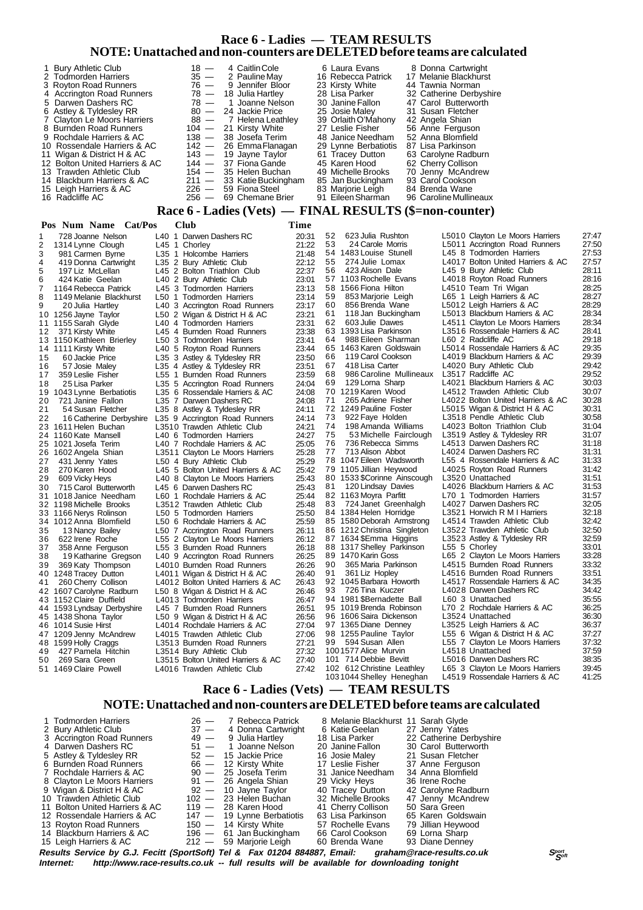#### **Race 6 - Ladies — TEAM RESULTS NOTE: Unattached and non-counters are DELETED before teams are calculated**

| 1 Bury Athletic Club           | $18 -$  | 4 Caitlin Cole              | 6 Laura Evans        | 8 Donna Cartwright      |
|--------------------------------|---------|-----------------------------|----------------------|-------------------------|
| 2 Todmorden Harriers           | $35 -$  | 2 Pauline Mav               | 16 Rebecca Patrick   | 17 Melanie Blackhurst   |
| 3 Royton Road Runners          |         | $76 - 9$ Jennifer Bloor     | 23 Kirsty White      | 44 Tawnia Norman        |
| 4 Accrington Road Runners      |         | $78 - 18$ Julia Hartlev     | 28 Lisa Parker       | 32 Catherine Derbyshire |
| 5 Darwen Dashers RC            | $78 -$  | 1 Joanne Nelson             | 30 Janine Fallon     | 47 Carol Butterworth    |
| 6 Astley & Tyldesley RR        |         | 80 - 24 Jackie Price        | 25 Josie Maley       | 31 Susan Fletcher       |
| 7 Clayton Le Moors Harriers    |         | 88 - 7 Helena Leathley      | 39 Orlaith O'Mahony  | 42 Angela Shian         |
| 8 Burnden Road Runners         |         | 104 - 21 Kirsty White       | 27 Leslie Fisher     | 56 Anne Ferguson        |
| 9 Rochdale Harriers & AC       |         | 138 — 38 Josefa Terim       | 48 Janice Needham    | 52 Anna Blomfield       |
| 10 Rossendale Harriers & AC    |         | 142 - 26 Emma Flanagan      | 29 Lynne Berbatiotis | 87 Lisa Parkinson       |
| 11 Wigan & District H & AC     |         | $143 - 19$ Jayne Taylor     | 61 Tracey Dutton     | 63 Carolyne Radburn     |
| 12 Bolton United Harriers & AC |         | $144 - 37$ Fiona Gande      | 45 Karen Hood        | 62 Cherry Collison      |
| 13 Trawden Athletic Club       |         | $154 - 35$ Helen Buchan     | 49 Michelle Brooks   | 70 Jenny McAndrew       |
| 14 Blackburn Harriers & AC     |         | $211 - 33$ Katie Buckingham | 85 Jan Buckingham    | 93 Carol Cookson        |
| 15 Leigh Harriers & AC         |         | $226 - 59$ Fiona Steel      | 83 Marjorie Leigh    | 84 Brenda Wane          |
| 16 Radcliffe AC                | $256 -$ | 69 Chemane Brier            | 91 Eileen Sharman    | 96 Caroline Mullineaux  |

#### **Race 6 - Ladies (Vets) — FINAL RESULTS (\$=non-counter)**

#### **Pos Num Name Cat/Pos Club Time** 1 728 Joanne Nelson L40 1 Darwen Dashers RC 20:31<br>2 1314 Lynne Clough L45 1 Chorley 21:22 2 1314 Lynne Clough L45 1 Chorley 21:22<br>3 981 Carmen Byrne L35 1 Holcombe Harriers 21:48 1 Holcombe Harriers 21:48<br>2 Bury Athletic Club 22:12<br>2 Bolton Triathlon Club 22:37 4 419 Donna Cartwright L35 2 Bury Athletic Club 22:12 5 197 Liz McLellan L45 2 Bolton Triathlon Club 22:37 6 424 Katie Geelan L40 2 Bury Athletic Club 23:01 7 1164 Rebecca Patrick L45 3 Todmorden Harriers 23:13 8 1149 Melanie Blackhurst L50 1 Todmorden Harriers 23:14 9 20 Julia Hartley L40 3 Accrington Road Runners 23:17<br>10 1256 Jayne Taylor L50 2 Wigan & District H & AC 23:21 10 1256 Jayne Taylor L50 2 Wigan & District H & AC 23:21 11 1155 Sarah Glyde L40 4 Todmorden Harriers 23:31 12 371 Kirsty White L45 4 Burnden Road Runners<br>13 1150 Kathleen Brierley 150 3 Todmorden Harriers 13 1150 Kathleen Brierley L50 3 Todmorden Harriers 23:41 14 1111 Kirsty White L40 5 Royton Road Runners<br>15 60 Jackie Price L35 3 Astley & Tyldesley RR 23:50 15 60 3 Astley & Tyldesley RR 23:50<br>4 Astley & Tyldesley RR 23:51 16 57 Josie Maley L35 4 Astley & Tyldesley RR 23:51 17 359 Leslie Fisher L55 1 Burnden Road Runners 23:59 L35 5 Accrington Road Runners 19 1043 Lynne Berbatiotis L35 6 Rossendale Harriers & AC 24:08 20 721 Janine Fallon L35 7 Darwen Dashers RC 24:08 21 54 Susan Fletcher L35 8 Astley & Tyldesley RR 24:11 22 16 Catherine Derbyshire L35 9 Accrington Road Runners 24:14<br>23 1611 Helen Buchan L3510 Trawden Athletic Club 24:21 23 1611 Helen Buchan L3510 Trawden Athletic Club 24:21<br>24 1160 Kate Mansell L40 6 Todmorden Harriers 24:27 140 6 Todmorden Harriers 25 1021 Josefa Terim L40 7 Rochdale Harriers & AC 25:05 26 1602 Angela Shian L3511 Clayton Le Moors Harriers 25:28 27 431 Jenny Yates L50 4 Bury Athletic Club 25:29<br>28 270 Karen Hood L45 5 Bolton United Harriers & AC 25:42 28 270 Karen Hood L45 5 Bolton United Harriers & AC 25:42 29 609 Vicky Heys L40 8 Clayton Le Moors Harriers 25:43<br>30 715 Carol Butterworth L45 6 Darwen Dashers RC 25:43 L45 6 Darwen Dashers RC 31 1018 Janice Needham L60 1 Rochdale Harriers & AC 25:44 32 1198 Michelle Brooks L3512 Trawden Athletic Club 25:48 33 1166 Nerys Rolinson L50 5 Todmorden Harriers 25:50 34 1012 Anna Blomfield L50 6 Rochdale Harriers & AC 25:59 35 13 Nancy Bailey L50 7 Accrington Road Runners 26:11 36 622 Irene Roche L55 2 Clayton Le Moors Harriers 26:12 358 Anne Ferguson L55 3 Burnden Road Runners<br>19 Katharine Gregson LL40 9 Accrington Road Runne 38 19 Katharine Gregson L40 9 Accrington Road Runners 26:25 39 369 Katy Thompson L4010 Burnden Road Runners 26:26 40 1248 Tracey Dutton L4011 Wigan & District H & AC 26:40<br>41 260 Cherry Collison L4012 Bolton United Harriers & AC 26:43 41 260 Cherry Collison L4012 Bolton United Harriers & AC 26:43<br>42 1607 Carolyne Radburn L50 8 Wigan & District H & AC 26:46 1607 Carolyne Radburn L50 8 Wigan & District H & AC 26:46<br>1152 Claire Duffield L4013 Todmorden Harriers 26:47 43 1152 Claire Duffield L4013 Todmorden Harriers 26:47<br>44 1593 I vndsav Derbyshire L45 7 Burnden Road Runners 26:51 1593 Lyndsay Derbyshire<br>1438 Shona Tavlor 45 1438 Shona Taylor L50 9 Wigan & District H & AC 26:56 46 1014 Susie Hirst L4014 Rochdale Harriers & AC 27:04<br>47 1209 Jenny McAndrew L4015 Trawden Athletic Club 27:06 47 1209 Jenny McAndrew L4015 Trawden Athletic Club 27:06<br>48 1599 Holly Craggs L3513 Burnden Road Runners 27:21 599 Holly Craggs L3513 Burnden Road Runners<br>427 Pamela Hitchin L3514 Bury Athletic Club 49 427 Pamela Hitchin L3514 Bury Athletic Club 27:32<br>50 269 Sara Green 13515 Bolton United Harriers & AC 27:40 50 269 Sara Green L3515 Bolton United Harriers & AC 27:40 L4016 Trawden Athletic Club 52 623 Julia Rushton L5010 Clayton Le Moors Harriers 27:47 53 24 Carole Morris L5011 Accrington Road Runners 27:50 L45 8 Todmorden Harriers 55 274 Julie Lomax L4017 Bolton United Harriers & AC 27:57 56 423 Alison Dale L45 9 Bury Athletic Club 28:11<br>57 1103 Rochelle Evans L4018 Royton Road Runners 28:16 57 1103 Rochelle Evans L4018 Royton Road Runners 28:16 58 1566 Fiona Hilton L4510 Team Tri Wigan 28:25 59 853 Marjorie Leigh L65 1 Leigh Harriers & AC 28:27 E6012 Leigh Harriers & AC 28:29<br>L5013 Blackburn Harriers & AC 28:34 61 118 Jan Buckingham L5013 Blackburn Harriers & AC 28:34 62 603 Julie Dawes L4511 Clayton Le Moors Harriers 28:34 63 1393 Lisa Parkinson L3516 Rossendale Harriers & AC 28:41 64 988 Eileen Sharman L60 2 Radcliffe AC 29:18 65 1463 Karen Goldswain L5014 Rossendale Harriers & AC 29:35 L4019 Blackburn Harriers & AC 67 418 Lisa Carter L4020 Bury Athletic Club 29:42 68 986 Caroline Mullineaux L3517 Radcliffe AC 29:52 69 129 Lorna Sharp L4021 Blackburn Harriers & AC 30:03 70 1219 Karen Wood L4512 Trawden Athletic Club 30:07 71 265 Adriene Fisher L4022 Bolton United Harriers & AC 30:28 72 1249 Pauline Foster L5015 Wigan & District H & AC 30:31 73 922 Faye Holden L3518 Pendle Athletic Club 30:58 74 198 Amanda Williams L4023 Bolton Triathlon Club 31:04 75 53 Michelle Fairclough L3519 Astley & Tyldesley RR 31:07 76 736 Rebecca Simms L4513 Darwen Dashers RC 31:18 77 713 Alison Abbot L4024 Darwen Dashers RC 31:31<br>78 1047 Eileen Wadsworth L55 4 Rossendale Harriers & AC 31:33 78 1047 Eileen Wadsworth L55 4 Rossendale Harriers & AC 31:33 79 1105 Jillian Heywood L4025 Royton Road Runners 31:42 80 1533 \$Corinne Ainscough L3520 Unattached 31:51<br>120 Lindsay Davies L4026 Blackburn Harriers & AC 31:53 81 120 Lindsay Davies L4026 Blackburn Harriers & AC<br>82 1163 Movra Parfitt 170 1 Todmorden Harriers 82 1163 Moyra Parfitt L70 1 Todmorden Harriers 31:57<br>83 724 Janet Greenhalgh L4027 Darwen Dashers RC 32:05 83 724 Janet Greenhalgh L4027 Darwen Dashers RC 32:05<br>84 1384 Helen Horridge L3521 Horwich R M I Harriers 32:18 1384 Helen Horridge L3521 Horwich R M I Harriers<br>1580 Deborah Armstrong L4514 Trawden Athletic Club 85 1580 Deborah Armstrong L4514 Trawden Athletic Club 32:42 86 1212 Christina Singleton L3522 Trawden Athletic Club 32:50<br>87 1634 SEmma Higgins L3523 Astley & Tyldesley RR 32:59 1634 \$Emma Higgins L3523 Astley & Tyldesley RR 32:59<br>1317 Shelley Parkinson L55 5 Chorley 33:01<br>1470 Karin Goss L65 2 Clayton Le Moors Harriers 33:28 88 1317 Shelley Parkinson L55 5 Chorley 33:01 89 1470 Karin Goss L65 2 Clayton Le Moors Harriers 33:28 90 365 Maria Parkinson L4515 Burnden Road Runners 33:32 91 361 Liz Hopley L4516 Burnden Road Runners 33:51<br>92 1045 Barbara Howorth L4517 Rossendale Harriers & AC 34:35 92 1045 Barbara Howorth L4517 Rossendale Harriers & AC 34:35 14028 Darwen Dashers RC 94 1981 \$Bernadette Ball L60 3 Unattached 35:55<br>95 1019 Brenda Robinson L70 2 Rochdale Harriers & AC 36:25 95 1019 Brenda Robinson L70 2 Rochdale Harriers & AC 36:25 96 1606 Saira Dickenson L3524 Unattached 36:30<br>97 1365 Diane Denney L3525 Leigh Harriers & AC 36:37 97 1365 Diane Denney L3525 Leigh Harriers & AC 36:37<br>98 1255 Pauline Taylor L55 6 Wigan & District H & AC 37:27 98 1255 Pauline Taylor L55 6 Wigan & District H & AC 37:27 L55 7 Clayton Le Moors Harriers 1001577 Alice Murvin L4518 Unattached 37:59<br>101 714 Debbie Bevitt L5016 Darwen Dashers RC 38:35 101 714 Debbie Bevitt L5016 Darwen Dashers RC 38:35 102 612 Christine Leathley<br>
102 612 Christine Leathley L65 3 Clayton Le Moors Harriers<br>
103 1044 Shelley Heneghan L4519 Rossendale Harriers & AC L4519 Rossendale Harriers & AC 41:25  **Race 6 - Ladies (Vets) — TEAM RESULTS**

#### **NOTE: Unattached and non-counters are DELETED before teams are calculated**

1 Todmorden Harriers 26 — 7 Rebecca Patrick 8 Melanie Blackhurst 11 Sarah Glyde<br>
2 Bury Athletic Club 37 — 4 Donna Cartwright 6 Katie Geelan 27 Jenny Yates<br>
3 Accrington Road Runners 49 — 9 Julia Hartley 18 Lisa Parker 22 27 - 4 Donna Cartwright 6 Katie Geela<br>
27 - 4 Donna Cartwright 6 Katie Geela<br>
29 - 9 Julia Hartley 18 Lisa Parker 3 Accrington Road Runners 49 - 9 Julia Hartley 18 Lisa Parker 22 Catherine Derbyshire 19 - 1 Joanne Nelson 20 Janine Fallon 30 Carol Butterworth 4 Darwen Dashers RC 51 - 1 Joanne Nelson 20 Janine Fallon 30 Carol Butterworth 5 Astley & Tyldesley RR 52 - 15 Jackie Price 16 Josie Maley 21 Susan Fletcher 5 Astley & Tyldesley RR 52 - 15 Jackie Price 16 Josie Maley 21 Susan Fletcher<br>6 Burnden Road Runners 66 - 12 Kirsty White 17 Leslie Fisher 37 Anne Ferguson Eurnden Road Runners **66** 12 Kirsty White 17 Leslie Fisher 37 Anne Ferguson<br>Rochdale Harriers & AC 90 - 25 Josefa Terim 31 Janice Needham 34 Anna Blomfield 7 Rochdale Harriers & AC 90 — 25 Josefa Terim 31 Janice Needham 34 Anna Blomfield 8 Clayton Le Moors Harriers 91 — 26 Angela Shian 29 Vicky Heys 36 Irene Roche Clayton Le Moors Harriers 91 — 26 Angela Shian 29 Vicky Heys 36 Irene Roche<br>
192 — 10 Jayne Taylor 40 Tracey Dutton 42 Carolyne Radburn<br>
192 — 23 Helen Buchan 32 Michelle Brooks 47 Jenny McAndrew 9 Wigan & District H & AC 92 — 10 Jayne Taylor 40 Tracey Dutton 42 Carolyne Radburn 10 Trawden Athletic Club 102 — 23 Helen Buchan 32 Michelle Brooks 47 Jenny McAndrew 11 Bolton United Harriers & AC 119 - 28 Karen Hood 41 Cherry Collison 50 Sara Green<br>12 Rossendale Harriers & AC 147 - 19 Lynne Berbatiotis 63 Lisa Parkinson 65 Karen Goldswain 12 Rossendale Harriers & AC 147 — 19 Lynne Berbatiotis 63 Lisa Parkinson 65 Karen Goldswa<br>13 Royton Road Runners 150 — 14 Kirsty White 57 Rochelle Evans 79 Jillian Heywood 13 Royton Road Runners 150 — 14 Kirsty White 57 Rochelle Evans 79 Jillian Heywood 14 Blackburn Harriers & AC 196 — 61 Jan Buckingham 66 Carol Cookson 69 Lorna Sharp 14 Blackburn Harriers & AC 15 Leigh Harriers & AC 212 — 59 Marjorie Leigh 60 Brenda Wane 93 Diane Denney

**Results Service by G.J. Fecitt (SportSoft) Tel & Fax 01204 884887, Email: graham@race-results.co.uk Sport as Sport by General and the control of the sport of the sport of the control of the control of the control of the c** http://www.race-results.co.uk -- full results will be available for downloading tonight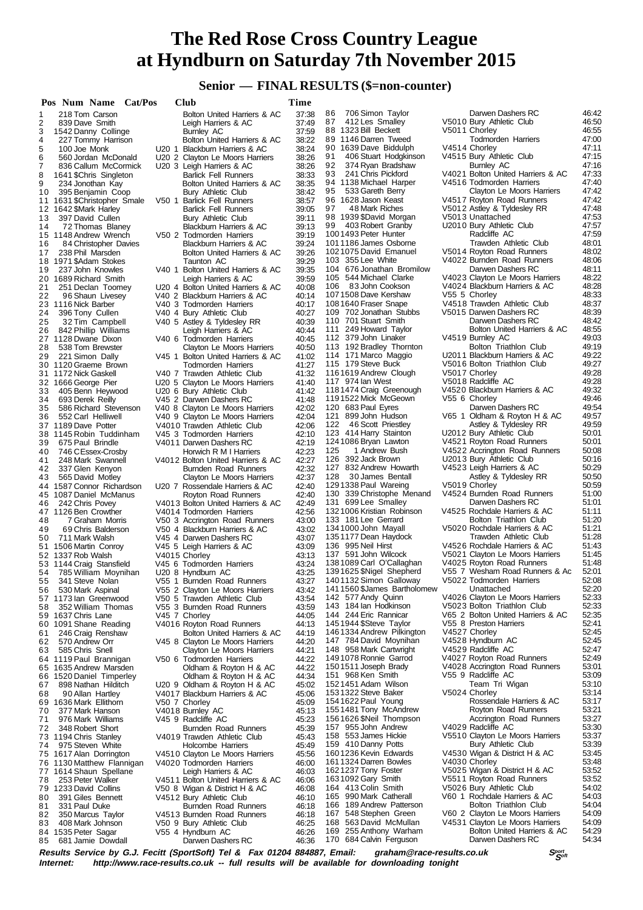# **Senior — FINAL RESULTS (\$=non-counter)**

|    | Pos Num Name Cat/Pos        |                       |  | Club                              | Time           |     |                                                  |                                                                |       |
|----|-----------------------------|-----------------------|--|-----------------------------------|----------------|-----|--------------------------------------------------|----------------------------------------------------------------|-------|
| 1  |                             | 218 Tom Carson        |  | Bolton United Harriers & AC       | 37:38          | 86  | 706 Simon Taylor                                 | Darwen Dashers RC                                              | 46:42 |
| 2  | 839 Dave Smith              |                       |  | Leigh Harriers & AC               | 37:49          | 87  | 412 Les Smalley                                  | V5010 Bury Athletic Club                                       | 46:50 |
| 3  | 1542 Danny Collinge         |                       |  | Burnley AC                        | 37:59          |     | 88 1323 Bill Beckett                             | V5011 Chorley                                                  | 46:55 |
| 4  |                             | 227 Tommy Harrison    |  | Bolton United Harriers & AC       | 38:22          |     | 89 1146 Darren Tweed                             | <b>Todmorden Harriers</b>                                      | 47:00 |
| 5  | 100 Joe Monk                |                       |  | U20 1 Blackburn Harriers & AC     | 38:24          |     | 90 1639 Dave Biddulph                            | V4514 Chorley                                                  | 47:11 |
| 6  |                             | 560 Jordan McDonald   |  | U20 2 Clayton Le Moors Harriers   | 38:26          | 91  | 406 Stuart Hodgkinson                            | V4515 Bury Athletic Club                                       | 47:15 |
| 7  |                             | 836 Callum McCormick  |  | U20 3 Leigh Harriers & AC         | 38:26          | 92  | 374 Ryan Bradshaw                                | Burnley AC                                                     | 47:16 |
| 8  | 1641 \$Chris Singleton      |                       |  | <b>Barlick Fell Runners</b>       | 38:33          | 93  | 241 Chris Pickford                               | V4021 Bolton United Harriers & AC                              | 47:33 |
| 9  |                             | 234 Jonothan Kay      |  | Bolton United Harriers & AC       | 38:35          |     | 94 1138 Michael Harper                           | V4516 Todmorden Harriers                                       | 47:40 |
| 10 |                             | 395 Benjamin Coop     |  | Bury Athletic Club                | 38:42          | 95  | 533 Gareth Berry                                 | Clayton Le Moors Harriers                                      | 47:42 |
|    |                             |                       |  | V50 1 Barlick Fell Runners        | 38:57          |     | 96 1628 Jason Keast                              | V4517 Royton Road Runners                                      | 47:42 |
|    | 11 1631 \$Christopher Smale |                       |  |                                   |                | 97  | 48 Mark Riches                                   | V5012 Astley & Tyldesley RR                                    | 47:48 |
| 13 | 12 1642 \$Mark Harley       |                       |  | <b>Barlick Fell Runners</b>       | 39:05<br>39:11 |     | 98 1939 \$David Morgan                           | V5013 Unattached                                               | 47:53 |
|    |                             | 397 David Cullen      |  | Bury Athletic Club                |                | 99  | 403 Robert Granby                                | U2010 Bury Athletic Club                                       | 47:57 |
| 14 |                             | 72 Thomas Blaney      |  | Blackburn Harriers & AC           | 39:13          |     | 1001493 Peter Hunter                             | Radcliffe AC                                                   | 47:59 |
|    | 15 1148 Andrew Wrench       |                       |  | V50 2 Todmorden Harriers          | 39:19          |     | 1011186 James Osborne                            | Trawden Athletic Club                                          | 48:01 |
| 16 |                             | 84 Christopher Davies |  | Blackburn Harriers & AC           | 39:24          |     |                                                  | V5014 Royton Road Runners                                      | 48:02 |
| 17 |                             | 238 Phil Marsden      |  | Bolton United Harriers & AC       | 39:26          |     | 1021075 David Emanuel<br>103 355 Lee White       |                                                                | 48:06 |
| 18 | 1971 \$Adam Stokes          |                       |  | Taunton AC                        | 39:29          |     |                                                  | V4022 Burnden Road Runners                                     |       |
| 19 |                             | 237 John Knowles      |  | V40 1 Bolton United Harriers & AC | 39:35          |     | 104 676 Jonathan Bromilow                        | Darwen Dashers RC                                              | 48:11 |
|    | 20 1689 Richard Smith       |                       |  | Leigh Harriers & AC               | 39:59          |     | 105 544 Michael Clarke                           | V4023 Clayton Le Moors Harriers                                | 48:22 |
| 21 |                             | 251 Declan Toomey     |  | U20 4 Bolton United Harriers & AC | 40:08          | 106 | 83 John Cookson                                  | V4024 Blackburn Harriers & AC                                  | 48:28 |
| 22 |                             | 96 Shaun Livesey      |  | V40 2 Blackburn Harriers & AC     | 40:14          |     | 1071508 Dave Kershaw                             | V55 5 Chorley                                                  | 48:33 |
|    | 23 1116 Nick Barber         |                       |  | V40 3 Todmorden Harriers          | 40:17          |     | 1081640 Fraser Snape                             | V4518 Trawden Athletic Club                                    | 48:37 |
| 24 | 396 Tony Cullen             |                       |  | V40 4 Bury Athletic Club          | 40:27          |     | 109 702 Jonathan Stubbs                          | V5015 Darwen Dashers RC                                        | 48:39 |
| 25 |                             | 32 Tim Campbell       |  | V40 5 Astley & Tyldesley RR       | 40:39          |     | 110 701 Stuart Smith                             | Darwen Dashers RC                                              | 48:42 |
| 26 |                             | 842 Phillip Williams  |  | Leigh Harriers & AC               | 40:44          |     | 111 249 Howard Taylor                            | Bolton United Harriers & AC                                    | 48:55 |
|    | 27 1128 Dwane Dixon         |                       |  | V40 6 Todmorden Harriers          | 40:45          |     | 112 379 John Linaker                             | V4519 Burnley AC                                               | 49:03 |
| 28 |                             | 538 Tom Brewster      |  | Clayton Le Moors Harriers         | 40:50          |     | 113 192 Bradley Thornton                         | Bolton Triathlon Club                                          | 49:19 |
| 29 |                             | 221 Simon Dally       |  | V45 1 Bolton United Harriers & AC | 41:02          |     | 114 171 Marco Maggio                             | U2011 Blackburn Harriers & AC                                  | 49:22 |
|    | 30 1120 Graeme Brown        |                       |  | <b>Todmorden Harriers</b>         | 41:27          |     | 115 179 Steve Buck                               | V5016 Bolton Triathlon Club                                    | 49:27 |
|    | 31 1172 Nick Gaskell        |                       |  | V40 7 Trawden Athletic Club       | 41:32          |     | 1161619 Andrew Clough                            | V5017 Chorley                                                  | 49:28 |
|    | 32 1666 George Pier         |                       |  | U20 5 Clayton Le Moors Harriers   | 41:40          |     | 117 974 Ian West                                 | V5018 Radcliffe AC                                             | 49:28 |
| 33 |                             | 405 Benn Heywood      |  | U20 6 Bury Athletic Club          | 41:42          |     | 1181474 Craig Greenough                          | V4520 Blackburn Harriers & AC                                  | 49:32 |
| 34 | 693 Derek Reilly            |                       |  | V45 2 Darwen Dashers RC           | 41:48          |     | 1191522 Mick McGeown                             | V55 6 Chorley                                                  | 49:46 |
| 35 |                             | 586 Richard Stevenson |  | V40 8 Clayton Le Moors Harriers   | 42:02          |     | 120 683 Paul Eyres                               | Darwen Dashers RC                                              | 49:54 |
| 36 |                             | 552 Carl Helliwell    |  | V40 9 Clayton Le Moors Harriers   | 42:04          |     | 121 899 John Hudson                              | V65 1 Oldham & Royton H & AC                                   | 49:57 |
|    | 37 1189 Dave Potter         |                       |  | V4010 Trawden Athletic Club       | 42:06          | 122 | 46 Scott Priestley                               | Astley & Tyldesley RR                                          | 49:59 |
|    | 38 1145 Robin Tuddinham     |                       |  | V45 3 Todmorden Harriers          | 42:10          |     | 123 414 Harry Stainton                           | U2012 Bury Athletic Club                                       | 50:01 |
| 39 |                             | 675 Paul Brindle      |  | V4011 Darwen Dashers RC           | 42:19          |     | 1241086 Bryan Lawton                             | V4521 Royton Road Runners                                      | 50:01 |
| 40 |                             | 746 CEssex-Crosby     |  | Horwich R M I Harriers            | 42:23          | 125 | 1 Andrew Bush                                    | V4522 Accrington Road Runners                                  | 50:08 |
| 41 |                             | 248 Mark Swannell     |  | V4012 Bolton United Harriers & AC | 42:27          |     | 126 392 Jack Brown                               | U2013 Bury Athletic Club                                       | 50:16 |
| 42 |                             | 337 Glen Kenyon       |  | Burnden Road Runners              | 42:32          |     | 127 832 Andrew Howarth                           | V4523 Leigh Harriers & AC                                      | 50:29 |
| 43 |                             | 565 David Motley      |  | Clayton Le Moors Harriers         | 42:37          | 128 | 30 James Bentall                                 | Astley & Tyldesley RR                                          | 50:50 |
|    | 44 1587 Connor Richardson   |                       |  | U20 7 Rossendale Harriers & AC    | 42:40          |     | 1291338 Paul Wareing                             | V5019 Chorley                                                  | 50:59 |
|    | 45 1087 Daniel McManus      |                       |  | Royton Road Runners               | 42:40          |     | 130 339 Christophe Menand                        | V4524 Burnden Road Runners                                     | 51:00 |
| 46 | 242 Chris Povey             |                       |  | V4013 Bolton United Harriers & AC | 42:49          |     | 131 699 Lee Smalley                              | Darwen Dashers RC                                              | 51:01 |
|    | 47 1126 Ben Crowther        |                       |  | V4014 Todmorden Harriers          | 42:56          |     | 1321006 Kristian Robinson                        | V4525 Rochdale Harriers & AC                                   | 51:11 |
| 48 |                             | 7 Graham Morris       |  | V50 3 Accrington Road Runners     | 43:00          |     | 133 181 Lee Gerrard                              | Bolton Triathlon Club                                          | 51:20 |
| 49 |                             | 69 Chris Balderson    |  | V50 4 Blackburn Harriers & AC     | 43:02          |     | 1341000 John Mayall                              | V5020 Rochdale Harriers & AC                                   | 51:21 |
| 50 | 711 Mark Walsh              |                       |  | V45 4 Darwen Dashers RC           | 43:07          |     | 1351177 Dean Haydock                             | Trawden Athletic Club                                          | 51:28 |
|    | 51 1506 Martin Conroy       |                       |  | V45 5 Leigh Harriers & AC         | 43:09          |     | 136 995 Neil Hirst                               | V4526 Rochdale Harriers & AC                                   | 51:43 |
|    | 52 1337 Rob Walsh           |                       |  | V4015 Chorley                     | 43:13          |     | 137 591 John Wilcock                             | V5021 Clayton Le Moors Harriers                                | 51:45 |
|    | 53 1144 Craig Stansfield    |                       |  | V45 6 Todmorden Harriers          | 43:24          |     | 1381089 Carl O'Callaghan                         | V4025 Royton Road Runners                                      | 51:48 |
| 54 |                             | 785 William Moynihan  |  | U20 8 Hyndburn AC                 | 43:25          |     | 1391625 \$Nigel Shepherd                         | V55 7 Wesham Road Runners & Ac                                 | 52:01 |
| 55 |                             | 341 Steve Nolan       |  | V55 1 Burnden Road Runners        | 43:27          |     | 1401132 Simon Galloway                           | V5022 Todmorden Harriers                                       | 52:08 |
| 56 |                             | 530 Mark Aspinal      |  | V55 2 Clayton Le Moors Harriers   | 43:42          |     | 1411560 \$James Bartholomew                      | Unattached                                                     | 52:20 |
|    | 57 1173 lan Greenwood       |                       |  | V50 5 Trawden Athletic Club       | 43:54          |     | 142 577 Andy Quinn                               | V4026 Clayton Le Moors Harriers                                | 52:33 |
| 58 |                             | 352 William Thomas    |  | V55 3 Burnden Road Runners        | 43:59          |     | 143 184 Ian Hodkinson                            | V5023 Bolton Triathlon Club                                    | 52:33 |
|    | 59 1637 Chris Lane          |                       |  | V45 7 Chorley                     | 44:05          |     | 144 244 Eric Rannicar                            | V65 2 Bolton United Harriers & AC                              | 52:35 |
|    | 60 1091 Shane Reading       |                       |  | V4016 Royton Road Runners         | 44:13          |     | 1451944 \$Steve Taylor                           | V55 8 Preston Harriers                                         | 52:41 |
| 61 |                             | 246 Craig Renshaw     |  | Bolton United Harriers & AC       | 44:19          |     | 1461334 Andrew Pilkington                        | V4527 Chorley                                                  | 52:45 |
| 62 | 570 Andrew Orr              |                       |  | V45 8 Clayton Le Moors Harriers   | 44:20          |     | 147 784 David Moynihan                           | V4528 Hyndburn AC                                              | 52:45 |
| 63 | 585 Chris Snell             |                       |  | Clayton Le Moors Harriers         | 44:21          |     | 148 958 Mark Cartwright                          | V4529 Radcliffe AC                                             | 52:47 |
|    | 64 1119 Paul Brannigan      |                       |  | V50 6 Todmorden Harriers          | 44:22          |     | 1491078 Ronnie Garrod                            | V4027 Royton Road Runners                                      | 52:49 |
|    | 65 1635 Andrew Marsden      |                       |  | Oldham & Royton H & AC            | 44:22          |     | 1501511 Joseph Brady                             | V4028 Accrington Road Runners                                  | 53:01 |
|    | 66 1520 Daniel Timperley    |                       |  | Oldham & Royton H & AC            | 44:34          |     | 151 968 Ken Smith                                | V55 9 Radcliffe AC                                             | 53:09 |
| 67 |                             | 898 Nathan Hilditch   |  | U20 9 Oldham & Royton H & AC      | 45:02          |     | 1521451 Adam Wilson                              | Team Tri Wigan                                                 | 53:10 |
| 68 |                             | 90 Allan Hartley      |  | V4017 Blackburn Harriers & AC     | 45:06          |     | 1531322 Steve Baker                              | V5024 Chorley                                                  | 53:14 |
|    | 69 1636 Mark Ellithorn      |                       |  | V50 7 Chorley                     | 45:09          |     | 1541622 Paul Young                               | Rossendale Harriers & AC                                       | 53:17 |
| 70 |                             | 377 Mark Hanson       |  | V4018 Burnley AC                  | 45:13          |     | 1551481 Tony McAndrew                            | Royton Road Runners                                            | 53:21 |
| 71 |                             | 976 Mark Williams     |  | V45 9 Radcliffe AC                | 45:23          |     | 1561626 \$Neil Thompson                          | Accrington Road Runners                                        | 53:27 |
| 72 |                             | 348 Robert Short      |  | Burnden Road Runners              | 45:39          |     | 157 955 John Andrew                              | V4029 Radcliffe AC                                             | 53:30 |
|    | 73 1194 Chris Stanley       |                       |  | V4019 Trawden Athletic Club       | 45:43          |     | 158 553 James Hickie                             | V5510 Clayton Le Moors Harriers                                | 53:37 |
| 74 |                             | 975 Steven White      |  | Holcombe Harriers                 | 45:49          |     | 159 410 Danny Potts                              | Bury Athletic Club                                             | 53:39 |
|    |                             |                       |  |                                   |                |     | 1601236 Kevin Edwards                            | V4530 Wigan & District H & AC                                  | 53:45 |
|    | 75 1617 Alan Dorrington     |                       |  | V4510 Clayton Le Moors Harriers   | 45:56          |     | 1611324 Darren Bowles                            | V4030 Chorley                                                  | 53:48 |
|    | 76 1130 Matthew Flannigan   |                       |  | V4020 Todmorden Harriers          | 46:00          |     | 1621237 Tony Foster                              | V5025 Wigan & District H & AC                                  | 53:52 |
|    | 77 1614 Shaun Spellane      |                       |  | Leigh Harriers & AC               | 46:03          |     | 1631092 Gary Smith                               | V5511 Royton Road Runners                                      | 53:52 |
| 78 |                             | 253 Peter Walker      |  | V4511 Bolton United Harriers & AC | 46:06          |     | 164 413 Colin Smith                              | V5026 Bury Athletic Club                                       | 54:02 |
| 79 | 1233 David Collins          |                       |  | V50 8 Wigan & District H & AC     | 46:08          |     | 165 990 Mark Catherall                           | V60 1 Rochdale Harriers & AC                                   | 54:03 |
| 80 |                             | 391 Giles Bennett     |  | V4512 Bury Athletic Club          | 46:10          |     | 166 189 Andrew Patterson                         | Bolton Triathlon Club                                          | 54:04 |
| 81 | 331 Paul Duke               |                       |  | Burnden Road Runners              | 46:18          |     | 167 548 Stephen Green                            | V60 2 Clayton Le Moors Harriers                                | 54:09 |
| 82 |                             | 350 Marcus Taylor     |  | V4513 Burnden Road Runners        | 46:18          |     |                                                  |                                                                | 54:09 |
| 83 |                             | 408 Mark Johnson      |  | V50 9 Bury Athletic Club          | 46:25          |     | 168 563 David McMullan<br>169 255 Anthony Warham | V4531 Clayton Le Moors Harriers<br>Bolton United Harriers & AC | 54:29 |
| 84 | 1535 Peter Sagar            |                       |  | V55 4 Hyndburn AC                 | 46:26          |     | 170 684 Calvin Ferguson                          | Darwen Dashers RC                                              | 54:34 |
| 85 |                             | 681 Jamie Dowdall     |  | Darwen Dashers RC                 | 46:36          |     |                                                  |                                                                |       |

**Results Service by G.J. Fecitt (SportSoft) Tel & Fax 01204 884887, Email: graham@race-results.co.uk S<sup>port</sup>on S<sup>port</sup>on Constant Constant Constant Constant Constant Constant Constant Constant Constant Property Internet: h** http://www.race-results.co.uk -- full results will be available for downloading tonight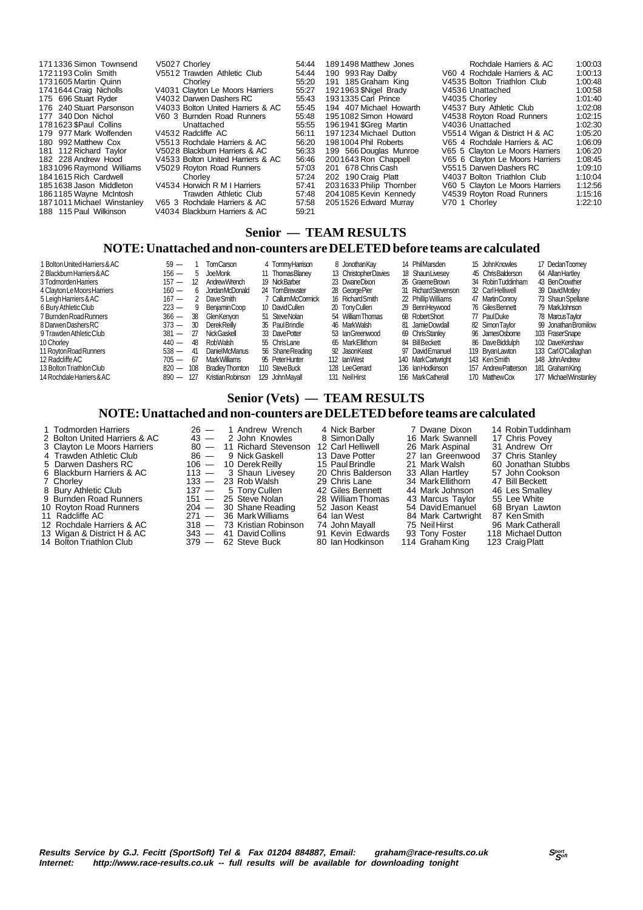| 1711336 Simon Townsend<br>V5027 Chorlev<br>V5512 Trawden Athletic Club<br>1721193 Colin Smith<br>1731605 Martin Quinn<br>Chorley<br>1741644 Craig Nicholls<br>V4032 Darwen Dashers RC<br>175 696 Stuart Ryder<br>176 240 Stuart Parsonson<br>177 340 Don Nichol<br>V60 3 Burnden Road Runners<br>1781623 \$Paul Collins<br>Unattached<br>179 977 Mark Wolfenden<br>V4532 Radcliffe AC<br>180 992 Matthew Cox<br>V5513 Rochdale Harriers & AC<br>181 112 Richard Taylor<br>V5028 Blackburn Harriers & AC<br>182 228 Andrew Hood<br>1831096 Raymond Williams<br>V5029 Rovton Road Runners<br>1841615 Rich Cardwell<br>Chorley<br>V4534 Horwich R M I Harriers<br>1851638 Jason Middleton<br>1861185 Wayne McIntosh<br>1871011 Michael Winstanley<br>V65 3 Rochdale Harriers & AC<br>188 115 Paul Wilkinson<br>V4034 Blackburn Harriers & AC | 54:44<br>54:44<br>55:20<br>V4031 Clayton Le Moors Harriers<br>55:27<br>55:43<br>V4033 Bolton United Harriers & AC<br>55:45<br>55:48<br>55:55<br>56:11<br>56:20<br>56:33<br>V4533 Bolton United Harriers & AC<br>56:46<br>57:03<br>57:24<br>57:41<br>Trawden Athletic Club<br>57:48<br>57:58<br>59:21 | 1891498 Matthew Jones<br>190 993 Ray Dalby<br>191 185 Graham King<br>1921963 SNigel Brady<br>1931335 Carl Prince<br>194 407 Michael Howarth<br>1951082 Simon Howard<br>1961941 \$Greg Martin<br>1971234 Michael Dutton<br>1981004 Phil Roberts<br>199 566 Douglas Munroe<br>2001643 Ron Chappell<br>201 678 Chris Cash<br>202 190 Craig Platt<br>2031633 Philip Thornber<br>2041085 Kevin Kennedy<br>2051526 Edward Murray | Rochdale Harriers & AC<br>V60 4 Rochdale Harriers & AC<br>V4535 Bolton Triathlon Club<br>V4536 Unattached<br>V4035 Chorley<br>V4537 Bury Athletic Club<br>V4538 Rovton Road Runners<br>V4036 Unattached<br>V5514 Wigan & District H & AC<br>V65 4 Rochdale Harriers & AC<br>V65 5 Clayton Le Moors Harriers<br>V65 6 Clayton Le Moors Harriers<br>V5515 Darwen Dashers RC<br>V4037 Bolton Triathlon Club<br>V60 5 Clayton Le Moors Harriers<br>V4539 Royton Road Runners<br>V70 1 Chorley | 1:00:03<br>1:00:13<br>1:00:48<br>1:00:58<br>1:01:40<br>1:02:08<br>1:02:15<br>1:02:30<br>1:05:20<br>1:06:09<br>1:06:20<br>1:08:45<br>1:09:10<br>1:10:04<br>1:12:56<br>1:15:16<br>1:22:10 |
|-------------------------------------------------------------------------------------------------------------------------------------------------------------------------------------------------------------------------------------------------------------------------------------------------------------------------------------------------------------------------------------------------------------------------------------------------------------------------------------------------------------------------------------------------------------------------------------------------------------------------------------------------------------------------------------------------------------------------------------------------------------------------------------------------------------------------------------------|------------------------------------------------------------------------------------------------------------------------------------------------------------------------------------------------------------------------------------------------------------------------------------------------------|----------------------------------------------------------------------------------------------------------------------------------------------------------------------------------------------------------------------------------------------------------------------------------------------------------------------------------------------------------------------------------------------------------------------------|-------------------------------------------------------------------------------------------------------------------------------------------------------------------------------------------------------------------------------------------------------------------------------------------------------------------------------------------------------------------------------------------------------------------------------------------------------------------------------------------|-----------------------------------------------------------------------------------------------------------------------------------------------------------------------------------------|
|-------------------------------------------------------------------------------------------------------------------------------------------------------------------------------------------------------------------------------------------------------------------------------------------------------------------------------------------------------------------------------------------------------------------------------------------------------------------------------------------------------------------------------------------------------------------------------------------------------------------------------------------------------------------------------------------------------------------------------------------------------------------------------------------------------------------------------------------|------------------------------------------------------------------------------------------------------------------------------------------------------------------------------------------------------------------------------------------------------------------------------------------------------|----------------------------------------------------------------------------------------------------------------------------------------------------------------------------------------------------------------------------------------------------------------------------------------------------------------------------------------------------------------------------------------------------------------------------|-------------------------------------------------------------------------------------------------------------------------------------------------------------------------------------------------------------------------------------------------------------------------------------------------------------------------------------------------------------------------------------------------------------------------------------------------------------------------------------------|-----------------------------------------------------------------------------------------------------------------------------------------------------------------------------------------|

# **Senior — TEAM RESULTS**

#### **NOTE: Unattached and non-counters are DELETED before teams are calculated**

| 1 Bolton United Harriers & AC<br>2 Blackburn Harriers & AC | $59 -$<br>$156 -$<br>$5 -$ | <b>TomCarson</b><br>JoeMonk | 4 TommvHamison<br>11 Thomas Blaney | 8 Jonothan Kav<br>13 ChristopherDavies | 14 PhilMarsden<br>18 Shaun Livesey | 15 John Knowles<br>45 ChrisBalderson | 17 DeclanToomev<br>64 Allan Hartlev |
|------------------------------------------------------------|----------------------------|-----------------------------|------------------------------------|----------------------------------------|------------------------------------|--------------------------------------|-------------------------------------|
| 3 Todmorden Harriers                                       | $157 -$<br>12              | AndrewWrench                | 19 NickBarber                      | 23 DwaneDixon                          | 26 GraemeBrown                     | 34 Robin Tuddinham                   | 43 BenCrowther                      |
| 4 Clayton Le Moors Harriers                                | $160 -$<br>6.              | <b>JordanMcDonald</b>       | 24 TomBrewster                     | 28 George Pier                         | 31 RichardStevenson                | 32 CarlHelliwell                     | 39 DavidMotlev                      |
| 5 Leigh Harriers & AC                                      | $167 -$<br>2               | Dave Smith                  | 7 CallumMcCormick                  | 16 Richard Smith                       | 22 Phillip Williams                | 47 Martin Conroy                     | 73 Shaun Spellane                   |
| 6 Bury Athletic Club                                       | $223 -$<br>9               | BeniaminCoop                | 10 DavidCullen                     | 20 TonyCullen                          | 29 BennHevwood                     | 76 GilesBennett                      | 79 MarkJohnson                      |
| 7 Burnden Road Runners                                     | $366 -$<br>-38             | GlenKenvon                  | 51 SteveNolan                      | 54 William Thomas                      | 68 RobertShort                     | 77 PaulDuke                          | 78 MarcusTavlor                     |
| 8 Darwen Dashers RC                                        | $373 -$<br>30              | <b>DerekReilly</b>          | 35 PaulBrindle                     | 46 MarkWalsh                           | 81 Jamie Dowdall                   | 82 Simon Taylor                      | 99 Jonathan Bromilow                |
| 9 Trawden Athletic Club                                    | $381 -$<br>27              | <b>NickGaskell</b>          | 33 DavePotter                      | 53 IanGreenwood                        | 69 Chris Stanley                   | 96 JamesOsbome                       | 103 FraserSnape                     |
| 10 Chorley                                                 | $440 -$<br>48.             | RobWalsh                    | 55 ChrisLane                       | 65 Mark Ellithorn                      | 84 Bill Beckett                    | 86 DaveBiddulph                      | 102 DaveKershaw                     |
| 11 Rovton Road Runners                                     | $538 -$<br>41              | DanielMcManus               | 56 Shane Reading                   | 92 JasonKeast                          | 97 DavidEmanuel                    | 119 BryanLawton                      | 133 CarlO'Callaghan                 |
| 12 Radcliffe AC                                            | $705 -$<br>67              | <b>Mark Williams</b>        | 95 PeterHunter                     | 112 lanWest                            | 140 MarkCartwright                 | 143 KenSmith                         | 148 John Andrew                     |
| 13 Bolton Triathlon Club                                   | $820 -$<br>108             | <b>Bradley Thornton</b>     | 110 SteveBuck                      | 128 LeeGerrard                         | 136 Ian Hodkinson                  | 157 Andrew Patterson                 | 181 Graham King                     |
| 14 Rochdale Harriers & AC                                  | $890 -$<br>127             | Kristian Robinson           | 129 JohnMavall                     | 131 Neil Hirst                         | 156 MarkCatherall                  | 170 MatthewCox                       | 177 Michael Winstanley              |

# **Senior (Vets) — TEAM RESULTS NOTE: Unattached and non-counters are DELETED before teams are calculated**

| 1 Todmorden Harriers          |      | 26 — 1 Andrew Wrench       | 4 Nick Barber      | 7 Dwane Dixon      | 14 Robin Tuddinham |
|-------------------------------|------|----------------------------|--------------------|--------------------|--------------------|
| 2 Bolton United Harriers & AC |      | $43 - 2$ John Knowles      | 8 Simon Dally      | 16 Mark Swannell   | 17 Chris Povey     |
| 3 Clayton Le Moors Harriers   |      | 80 - 11 Richard Stevenson  | 12 Carl Helliwell  | 26 Mark Aspinal    | 31 Andrew Orr      |
| 4 Trawden Athletic Club       | 86 — | 9 Nick Gaskell             | 13 Dave Potter     | 27 Ian Greenwood   | 37 Chris Stanley   |
| 5 Darwen Dashers RC           |      | 106 - 10 Derek Reilly      | 15 Paul Brindle    | 21 Mark Walsh      | 60 Jonathan Stubbs |
| 6 Blackburn Harriers & AC     |      | $113 - 3$ Shaun Livesey    | 20 Chris Balderson | 33 Allan Hartley   | 57 John Cookson    |
| 7 Chorley                     |      | $133 - 23$ Rob Walsh       | 29 Chris Lane      | 34 Mark Ellithorn  | 47 Bill Beckett    |
| 8 Bury Athletic Club          |      | $137 - 5$ Tony Cullen      | 42 Giles Bennett   | 44 Mark Johnson    | 46 Les Smalley     |
| 9 Burnden Road Runners        |      | $151 - 25$ Steve Nolan     | 28 William Thomas  | 43 Marcus Taylor   | 55 Lee White       |
| 10 Royton Road Runners        |      | $204 - 30$ Shane Reading   | 52 Jason Keast     | 54 David Emanuel   | 68 Bryan Lawton    |
| 11 Radcliffe AC               |      | 271 — 36 Mark Williams     | 64 Ian West        | 84 Mark Cartwright | 87 Ken Smith       |
| 12 Rochdale Harriers & AC     |      | 318 - 73 Kristian Robinson | 74 John Mavall     | 75 Neil Hirst      | 96 Mark Catherall  |
| 13 Wigan & District H & AC    |      | $343 - 41$ David Collins   | 91 Kevin Edwards   | 93 Tony Foster     | 118 Michael Dutton |
| 14 Bolton Triathlon Club      |      | $379 - 62$ Steve Buck      | 80 Ian Hodkinson   | 114 Graham King    | 123 Craig Platt    |
|                               |      |                            |                    |                    |                    |